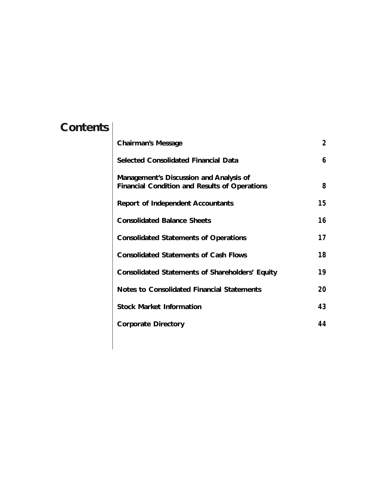# **Contents**

| <b>Chairman's Message</b>                                                                       | $\mathbf{2}$ |
|-------------------------------------------------------------------------------------------------|--------------|
| <b>Selected Consolidated Financial Data</b>                                                     | 6            |
| Management's Discussion and Analysis of<br><b>Financial Condition and Results of Operations</b> | 8            |
| <b>Report of Independent Accountants</b>                                                        | 15           |
| <b>Consolidated Balance Sheets</b>                                                              | 16           |
| <b>Consolidated Statements of Operations</b>                                                    | 17           |
| <b>Consolidated Statements of Cash Flows</b>                                                    | 18           |
| <b>Consolidated Statements of Shareholders' Equity</b>                                          | 19           |
| <b>Notes to Consolidated Financial Statements</b>                                               | 20           |
| <b>Stock Market Information</b>                                                                 | 43           |
| <b>Corporate Directory</b>                                                                      | 44           |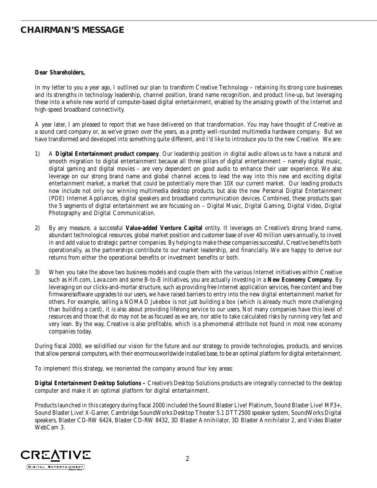### **CHAIRMAN'S MESSAGE**

#### **Dear Shareholders,**

In my letter to you a year ago, I outlined our plan to transform Creative Technology – retaining its strong core businesses and its strengths in technology leadership, channel position, brand name recognition, and product line-up, but leveraging these into a whole new world of computer-based digital entertainment, enabled by the amazing growth of the Internet and high-speed broadband connectivity.

A year later, I am pleased to report that we have delivered on that transformation. You may have thought of Creative as a sound card company or, as we've grown over the years, as a pretty well-rounded multimedia hardware company. But we have transformed and developed into something quite different, and I'd like to introduce you to the new Creative. We are:

- 1) A **Digital Entertainment product company**. Our leadership position in digital audio allows us to have a natural and smooth migration to digital entertainment because all three pillars of digital entertainment – namely digital music, digital gaming and digital movies – are very dependent on good audio to enhance their user experience. We also leverage on our strong brand name and global channel access to lead the way into this new and exciting digital entertainment market, a market that could be potentially more than 10X our current market. Our leading products now include not only our winning multimedia desktop products, but also the new Personal Digital Entertainment (PDE) Internet Appliances, digital speakers and broadband communication devices. Combined, these products span the 5 segments of digital entertainment we are focussing on – Digital Music, Digital Gaming, Digital Video, Digital Photography and Digital Communication.
- 2) By any measure, a successful **Value-added Venture Capital** entity. It leverages on Creative's strong brand name, abundant technological resources, global market position and customer base of over 40 million users annually, to invest in and add value to strategic partner companies. By helping to make these companies successful, Creative benefits both operationally, as the partnerships contribute to our market leadership, and financially. We are happy to derive our returns from either the operational benefits or investment benefits or both.
- 3) When you take the above two business models and couple them with the various Internet initiatives within Creative such as Hifi.com, Lava.com and some B-to-B initiatives, you are actually investing in a **New Economy Company**. By leveraging on our clicks-and-mortar structure, such as providing free Internet application services, free content and free firmware/software upgrades to our users, we have raised barriers to entry into the new digital entertainment market for others. For example, selling a NOMAD Jukebox is not just building a box (which is already much more challenging than building a card), it is also about providing lifelong service to our users. Not many companies have this level of resources and those that do may not be as focused as we are, nor able to take calculated risks by running very fast and very lean. By the way, Creative is also profitable, which is a phenomenal attribute not found in most new economy companies today.

During fiscal 2000, we solidified our vision for the future and our strategy to provide technologies, products, and services that allow personal computers, with their enormous worldwide installed base, to be an optimal platform for digital entertainment.

To implement this strategy, we reoriented the company around four key areas:

**Digital Entertainment Desktop Solutions –** Creative's Desktop Solutions products are integrally connected to the desktop computer and make it an optimal platform for digital entertainment.

Products launched in this category during fiscal 2000 included the Sound Blaster Live! Platinum, Sound Blaster Live! MP3+, Sound Blaster Live! X-Gamer, Cambridge SoundWorks Desktop Theater 5.1 DTT2500 speaker system, SoundWorks Digital speakers, Blaster CD-RW 6424, Blaster CD-RW 8432, 3D Blaster Annihilator, 3D Blaster Annihilator 2, and Video Blaster WebCam 3.

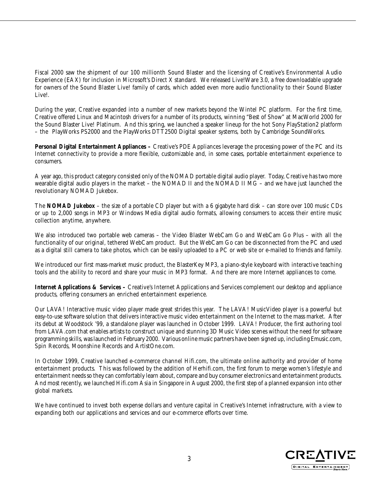Fiscal 2000 saw the shipment of our 100 millionth Sound Blaster and the licensing of Creative's Environmental Audio Experience (EAX) for inclusion in Microsoft's Direct X standard. We released Live!Ware 3.0, a free downloadable upgrade for owners of the Sound Blaster Live! family of cards, which added even more audio functionality to their Sound Blaster Live!.

During the year, Creative expanded into a number of new markets beyond the Wintel PC platform. For the first time, Creative offered Linux and Macintosh drivers for a number of its products, winning "Best of Show" at MacWorld 2000 for the Sound Blaster Live! Platinum. And this spring, we launched a speaker lineup for the hot Sony PlayStation2 platform – the PlayWorks PS2000 and the PlayWorks DTT2500 Digital speaker systems, both by Cambridge SoundWorks.

**Personal Digital Entertainment Appliances –** Creative's PDE Appliances leverage the processing power of the PC and its Internet connectivity to provide a more flexible, customizable and, in some cases, portable entertainment experience to consumers.

A year ago, this product category consisted only of the NOMAD portable digital audio player. Today, Creative has two more wearable digital audio players in the market – the NOMAD II and the NOMAD II MG – and we have just launched the revolutionary NOMAD Jukebox.

The **NOMAD Jukebox** – the size of a portable CD player but with a 6 gigabyte hard disk – can store over 100 music CDs or up to 2,000 songs in MP3 or Windows Media digital audio formats, allowing consumers to access their entire music collection anytime, anywhere.

We also introduced two portable web cameras – the Video Blaster WebCam Go and WebCam Go Plus – with all the functionality of our original, tethered WebCam product. But the WebCam Go can be disconnected from the PC and used as a digital still camera to take photos, which can be easily uploaded to a PC or web site or e-mailed to friends and family.

We introduced our first mass-market music product, the BlasterKey MP3, a piano-style keyboard with interactive teaching tools and the ability to record and share your music in MP3 format. And there are more Internet appliances to come.

**Internet Applications & Services –** Creative's Internet Applications and Services complement our desktop and appliance products, offering consumers an enriched entertainment experience.

Our LAVA! Interactive music video player made great strides this year. The LAVA! MusicVideo player is a powerful but easy-to-use software solution that delivers interactive music video entertainment on the Internet to the mass market. After its debut at Woodstock '99, a standalone player was launched in October 1999. LAVA! Producer, the first authoring tool from LAVA.com that enables artists to construct unique and stunning 3D Music Video scenes without the need for software programming skills, was launched in February 2000. Various online music partners have been signed up, including Emusic.com, Spin Records, Moonshine Records and ArtistOne.com.

In October 1999, Creative launched e-commerce channel Hifi.com, the ultimate online authority and provider of home entertainment products. This was followed by the addition of Herhifi.com, the first forum to merge women's lifestyle and entertainment needs so they can comfortably learn about, compare and buy consumer electronics and entertainment products. And most recently, we launched Hifi.com Asia in Singapore in August 2000, the first step of a planned expansion into other global markets.

We have continued to invest both expense dollars and venture capital in Creative's Internet infrastructure, with a view to expanding both our applications and services and our e-commerce efforts over time.

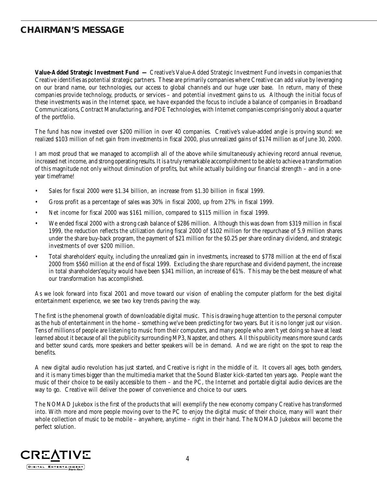### **CHAIRMAN'S MESSAGE**

**Value-Added Strategic Investment Fund —** Creative's Value-Added Strategic Investment Fund invests in companies that Creative identifies as potential strategic partners. These are primarily companies where Creative can add value by leveraging on our brand name, our technologies, our access to global channels and our huge user base. In return, many of these companies provide technology, products, or services – and potential investment gains to us. Although the initial focus of these investments was in the Internet space, we have expanded the focus to include a balance of companies in Broadband Communications, Contract Manufacturing, and PDE Technologies, with Internet companies comprising only about a quarter of the portfolio.

The fund has now invested over \$200 million in over 40 companies. Creative's value-added angle is proving sound: we realized \$103 million of net gain from investments in fiscal 2000, plus unrealized gains of \$174 million as of June 30, 2000.

I am most proud that we managed to accomplish all of the above while simultaneously achieving record annual revenue, increased net income, and strong operating results. It is a truly remarkable accomplishment to be able to achieve a transformation of this magnitude not only without diminution of profits, but while actually building our financial strength – and in a oneyear timeframe!

- Sales for fiscal 2000 were \$1.34 billion, an increase from \$1.30 billion in fiscal 1999.
- Gross profit as a percentage of sales was 30% in fiscal 2000, up from 27% in fiscal 1999.
- Net income for fiscal 2000 was \$161 million, compared to \$115 million in fiscal 1999.
- We ended fiscal 2000 with a strong cash balance of \$286 million. Although this was down from \$319 million in fiscal 1999, the reduction reflects the utilization during fiscal 2000 of \$102 million for the repurchase of 5.9 million shares under the share buy-back program, the payment of \$21 million for the \$0.25 per share ordinary dividend, and strategic investments of over \$200 million.
- Total shareholders' equity, including the unrealized gain in investments, increased to \$778 million at the end of fiscal 2000 from \$560 million at the end of fiscal 1999. Excluding the share repurchase and dividend payment, the increase in total shareholders'equity would have been \$341 million, an increase of 61%. This may be the best measure of what our transformation has accomplished.

As we look forward into fiscal 2001 and move toward our vision of enabling the computer platform for the best digital entertainment experience, we see two key trends paving the way.

The first is the phenomenal growth of downloadable digital music. This is drawing huge attention to the personal computer as the hub of entertainment in the home – something we've been predicting for two years. But it is no longer just *our* vision. Tens of millions of people are listening to music from their computers, and many people who aren't yet doing so have at least learned about it because of all the publicity surrounding MP3, Napster, and others. All this publicity means more sound cards and better sound cards, more speakers and better speakers will be in demand. And we are right on the spot to reap the benefits.

A new digital audio revolution has just started, and Creative is right in the middle of it. It covers all ages, both genders, and it is many times bigger than the multimedia market that the Sound Blaster kick-started ten years ago. People want the music of their choice to be easily accessible to them – and the PC, the Internet and portable digital audio devices are the way to go. Creative will deliver the power of convenience and choice to our users.

The NOMAD Jukebox is the first of the products that will exemplify the new economy company Creative has transformed into. With more and more people moving over to the PC to enjoy the digital music of their choice, many will want their whole collection of music to be mobile – anywhere, anytime – right in their hand. The NOMAD Jukebox will become the perfect solution.

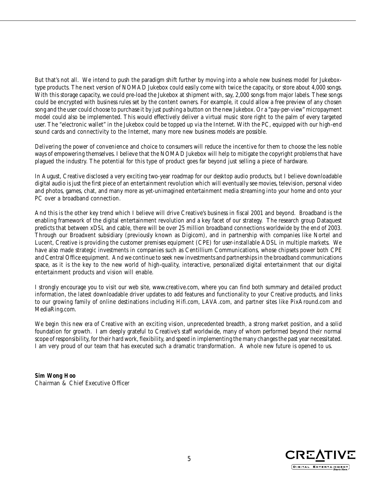But that's not all. We intend to push the paradigm shift further by moving into a whole new business model for Jukeboxtype products. The next version of NOMAD Jukebox could easily come with twice the capacity, or store about 4,000 songs. With this storage capacity, we could pre-load the Jukebox at shipment with, say, 2,000 songs from major labels. These songs could be encrypted with business rules set by the content owners. For example, it could allow a free preview of any chosen song and the user could choose to purchase it by just pushing a button on the new Jukebox. Or a "pay-per-view" micropayment model could also be implemented. This would effectively deliver a virtual music store right to the palm of every targeted user. The "electronic wallet" in the Jukebox could be topped up via the Internet. With the PC, equipped with our high-end sound cards and connectivity to the Internet, many more new business models are possible.

Delivering the power of convenience and choice to consumers will reduce the incentive for them to choose the less noble ways of empowering themselves. I believe that the NOMAD Jukebox will help to mitigate the copyright problems that have plagued the industry. The potential for this type of product goes far beyond just selling a piece of hardware.

In August, Creative disclosed a very exciting two-year roadmap for our desktop audio products, but I believe downloadable digital audio is just the first piece of an entertainment revolution which will eventually see movies, television, personal video and photos, games, chat, and many more as yet-unimagined entertainment media streaming into your home and onto your PC over a broadband connection.

And this is the other key trend which I believe will drive Creative's business in fiscal 2001 and beyond. Broadband is the enabling framework of the digital entertainment revolution and a key facet of our strategy. The research group Dataquest predicts that between xDSL and cable, there will be over 25 million broadband connections worldwide by the end of 2003. Through our Broadxent subsidiary (previously known as Digicom), and in partnership with companies like Nortel and Lucent, Creative is providing the customer premises equipment (CPE) for user-installable ADSL in multiple markets. We have also made strategic investments in companies such as Centillium Communications, whose chipsets power both CPE and Central Office equipment.And we continue to seek new investments and partnerships in the broadband communications space, as it is the key to the new world of high-quality, interactive, personalized digital entertainment that our digital entertainment products and vision will enable.

I strongly encourage you to visit our web site, www.creative.com, where you can find both summary and detailed product information, the latest downloadable driver updates to add features and functionality to your Creative products, and links to our growing family of online destinations including Hifi.com, LAVA.com, and partner sites like PixAround.com and MediaRing.com.

We begin this new era of Creative with an exciting vision, unprecedented breadth, a strong market position, and a solid foundation for growth. I am deeply grateful to Creative's staff worldwide, many of whom performed beyond their normal scope of responsibility, for their hard work, flexibility, and speed in implementing the many changes the past year necessitated. I am very proud of our team that has executed such a dramatic transformation. A whole new future is opened to us.

**Sim Wong Hoo** Chairman & Chief Executive Officer

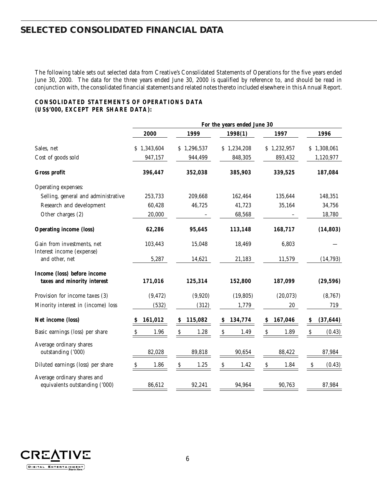### **SELECTED CONSOLIDATED FINANCIAL DATA**

The following table sets out selected data from Creative's Consolidated Statements of Operations for the five years ended June 30, 2000. The data for the three years ended June 30, 2000 is qualified by reference to, and should be read in conjunction with, the consolidated financial statements and related notes thereto included elsewhere in this Annual Report.

### **CONSOLIDATED STATEMENTS OF OPERATIONS DATA (US\$'000, EXCEPT PER SHARE DATA):**

|                                                               | For the years ended June 30 |                                   |                                   |                                   |                                        |  |  |  |
|---------------------------------------------------------------|-----------------------------|-----------------------------------|-----------------------------------|-----------------------------------|----------------------------------------|--|--|--|
|                                                               | 2000                        | 1999                              | 1998(1)                           | 1997                              | 1996                                   |  |  |  |
| Sales, net                                                    | \$1,343,604                 | \$1,296,537                       | \$1,234,208                       | \$1,232,957                       | \$1,308,061                            |  |  |  |
| Cost of goods sold                                            | 947,157                     | 944,499                           | 848,305                           | 893,432                           | 1,120,977                              |  |  |  |
| Gross profit                                                  | 396,447                     | 352,038                           | 385,903                           | 339,525                           | 187,084                                |  |  |  |
| Operating expenses:                                           |                             |                                   |                                   |                                   |                                        |  |  |  |
| Selling, general and administrative                           | 253,733                     | 209,668                           | 162,464                           | 135,644                           | 148,351                                |  |  |  |
| Research and development                                      | 60,428                      | 46,725                            | 41,723                            | 35,164                            | 34,756                                 |  |  |  |
| Other charges (2)                                             | 20,000                      |                                   | 68,568                            |                                   | 18,780                                 |  |  |  |
| <b>Operating income (loss)</b>                                | 62,286                      | 95,645                            | 113,148                           | 168,717                           | (14, 803)                              |  |  |  |
| Gain from investments, net<br>Interest income (expense)       | 103,443                     | 15,048                            | 18,469                            | 6,803                             |                                        |  |  |  |
| and other, net                                                | 5,287                       | 14,621                            | 21,183                            | 11,579                            | (14, 793)                              |  |  |  |
| Income (loss) before income<br>taxes and minority interest    | 171,016                     | 125,314                           | 152,800                           | 187,099                           | (29, 596)                              |  |  |  |
| Provision for income taxes (3)                                | (9, 472)                    | (9,920)                           | (19, 805)                         | (20,073)                          | (8,767)                                |  |  |  |
| Minority interest in (income) loss                            | (532)                       | (312)                             | 1,779                             | $20\,$                            | 719                                    |  |  |  |
| Net income (loss)                                             | 161,012<br>S                | 115,082<br>\$                     | 134,774<br>\$                     | 167,046<br>\$                     | (37, 644)<br>$\boldsymbol{\mathsf{S}}$ |  |  |  |
| Basic earnings (loss) per share                               | 1.96<br>S                   | $\mathcal{S}$<br>1.28             | S<br>1.49                         | $\boldsymbol{\mathsf{S}}$<br>1.89 | Ŝ<br>(0.43)                            |  |  |  |
| Average ordinary shares<br>outstanding ('000)                 | 82,028                      | 89,818                            | 90,654                            | 88,422                            | 87,984                                 |  |  |  |
| Diluted earnings (loss) per share                             | 1.86<br>$\mathcal{S}$       | $\boldsymbol{\mathsf{S}}$<br>1.25 | $\boldsymbol{\mathsf{S}}$<br>1.42 | $\boldsymbol{\mathsf{S}}$<br>1.84 | $\boldsymbol{\mathsf{S}}$<br>(0.43)    |  |  |  |
| Average ordinary shares and<br>equivalents outstanding ('000) | 86,612                      | 92,241                            | 94,964                            | 90,763                            | 87,984                                 |  |  |  |

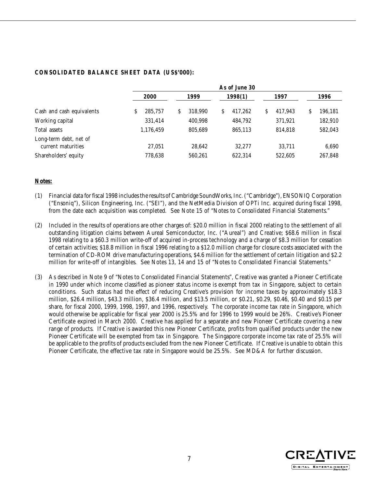### **CONSOLIDATED BALANCE SHEET DATA (US\$'000):**

|                                              | As of June 30 |              |              |              |              |  |  |  |
|----------------------------------------------|---------------|--------------|--------------|--------------|--------------|--|--|--|
|                                              | 2000          | 1999         | 1998(1)      | 1997         | 1996         |  |  |  |
| Cash and cash equivalents                    | 285.757<br>S  | 318.990<br>S | 417.262<br>S | 417.943<br>S | 196,181<br>S |  |  |  |
| Working capital                              | 331,414       | 400.998      | 484.792      | 371.921      | 182,910      |  |  |  |
| Total assets                                 | 1,176,459     | 805,689      | 865,113      | 814.818      | 582,043      |  |  |  |
| Long-term debt, net of<br>current maturities | 27.051        | 28,642       | 32.277       | 33.711       | 6,690        |  |  |  |
| Shareholders' equity                         | 778,638       | 560.261      | 622,314      | 522.605      | 267,848      |  |  |  |

#### **Notes:**

- (1) Financial data for fiscal 1998 includes the results of Cambridge SoundWorks, Inc. ("Cambridge"), ENSONIQ Corporation ("Ensoniq"), Silicon Engineering, Inc. ("SEI"), and the NetMedia Division of OPTi Inc. acquired during fiscal 1998, from the date each acquisition was completed. See Note 15 of "Notes to Consolidated Financial Statements."
- (2) Included in the results of operations are other charges of: \$20.0 million in fiscal 2000 relating to the settlement of all outstanding litigation claims between Aureal Semiconductor, Inc. ("Aureal") and Creative; \$68.6 million in fiscal 1998 relating to a \$60.3 million write-off of acquired in-process technology and a charge of \$8.3 million for cessation of certain activities; \$18.8 million in fiscal 1996 relating to a \$12.0 million charge for closure costs associated with the termination of CD-ROM drive manufacturing operations, \$4.6 million for the settlement of certain litigation and \$2.2 million for write-off of intangibles. See Notes 13, 14 and 15 of "Notes to Consolidated Financial Statements."
- (3) As described in Note 9 of "Notes to Consolidated Financial Statements", Creative was granted a Pioneer Certificate in 1990 under which income classified as pioneer status income is exempt from tax in Singapore, subject to certain conditions. Such status had the effect of reducing Creative's provision for income taxes by approximately \$18.3 million, \$26.4 million, \$43.3 million, \$36.4 million, and \$13.5 million, or \$0.21, \$0.29, \$0.46, \$0.40 and \$0.15 per share, for fiscal 2000, 1999, 1998, 1997, and 1996, respectively. The corporate income tax rate in Singapore, which would otherwise be applicable for fiscal year 2000 is 25.5% and for 1996 to 1999 would be 26%. Creative's Pioneer Certificate expired in March 2000. Creative has applied for a separate and new Pioneer Certificate covering a new range of products. If Creative is awarded this new Pioneer Certificate, profits from qualified products under the new Pioneer Certificate will be exempted from tax in Singapore. The Singapore corporate income tax rate of 25.5% will be applicable to the profits of products excluded from the new Pioneer Certificate. If Creative is unable to obtain this Pioneer Certificate, the effective tax rate in Singapore would be 25.5%. See MD&A for further discussion.

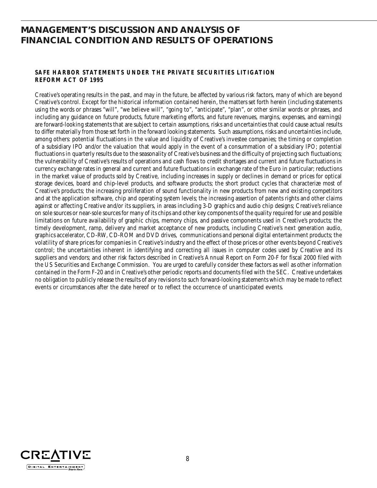### **MANAGEMENT'S DISCUSSION AND ANALYSIS OF FINANCIAL CONDITION AND RESULTS OF OPERATIONS**

### **SAFE HARBOR STATEMENTS UNDER THE PRIVATE SECURITIES LITIGATION REFORM ACT OF 1995**

Creative's operating results in the past, and may in the future, be affected by various risk factors, many of which are beyond Creative's control. Except for the historical information contained herein, the matters set forth herein (including statements using the words or phrases "will", "we believe will", "going to", "anticipate", "plan", or other similar words or phrases, and including any guidance on future products, future marketing efforts, and future revenues, margins, expenses, and earnings) are forward-looking statements that are subject to certain assumptions, risks and uncertainties that could cause actual results to differ materially from those set forth in the forward looking statements. Such assumptions, risks and uncertainties include, among others: potential fluctuations in the value and liquidity of Creative's investee companies; the timing or completion of a subsidiary IPO and/or the valuation that would apply in the event of a consummation of a subsidiary IPO; potential fluctuations in quarterly results due to the seasonality of Creative's business and the difficulty of projecting such fluctuations; the vulnerability of Creative's results of operations and cash flows to credit shortages and current and future fluctuations in currency exchange rates in general and current and future fluctuations in exchange rate of the Euro in particular; reductions in the market value of products sold by Creative, including increases in supply or declines in demand or prices for optical storage devices, board and chip-level products, and software products; the short product cycles that characterize most of Creative's products; the increasing proliferation of sound functionality in new products from new and existing competitors and at the application software, chip and operating system levels; the increasing assertion of patents rights and other claims against or affecting Creative and/or its suppliers, in areas including 3-D graphics and audio chip designs; Creative's reliance on sole sources or near-sole sources for many of its chips and other key components of the quality required for use and possible limitations on future availability of graphic chips, memory chips, and passive components used in Creative's products; the timely development, ramp, delivery and market acceptance of new products, including Creative's next generation audio, graphics accelerator, CD-RW, CD-ROM and DVD drives, communications and personal digital entertainment products; the volatility of share prices for companies in Creative's industry and the effect of those prices or other events beyond Creative's control; the uncertainties inherent in identifying and correcting all issues in computer codes used by Creative and its suppliers and vendors; and other risk factors described in Creative's Annual Report on Form 20-F for fiscal 2000 filed with the US Securities and Exchange Commission. You are urged to carefully consider these factors as well as other information contained in the Form F-20 and in Creative's other periodic reports and documents filed with the SEC. Creative undertakes no obligation to publicly release the results of any revisions to such forward-looking statements which may be made to reflect events or circumstances after the date hereof or to reflect the occurrence of unanticipated events.

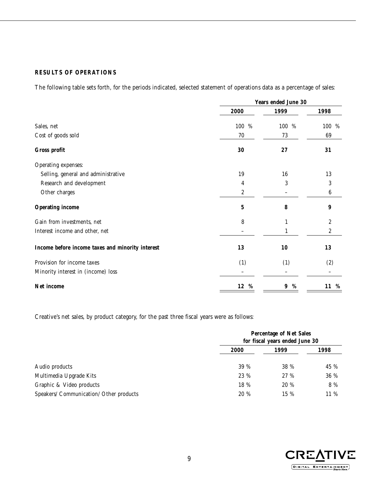### **RESULTS OF OPERATIONS**

The following table sets forth, for the periods indicated, selected statement of operations data as a percentage of sales:

|                                                  | Years ended June 30 |          |                  |  |
|--------------------------------------------------|---------------------|----------|------------------|--|
|                                                  | 2000                | 1999     | 1998             |  |
| Sales, net                                       | 100 %               | %<br>100 | 100 %            |  |
| Cost of goods sold                               | 70                  | 73       | 69               |  |
| Gross profit                                     | 30                  | 27       | 31               |  |
| Operating expenses:                              |                     |          |                  |  |
| Selling, general and administrative              | 19                  | 16       | 13               |  |
| Research and development                         | 4                   | 3        | 3                |  |
| Other charges                                    | 2                   |          | $\boldsymbol{6}$ |  |
| <b>Operating income</b>                          | $\mathbf 5$         | 8        | 9                |  |
| Gain from investments, net                       | 8                   | 1        | 2                |  |
| Interest income and other, net                   |                     |          | $\boldsymbol{2}$ |  |
| Income before income taxes and minority interest | 13                  | 10       | 13               |  |
| Provision for income taxes                       | (1)                 | (1)      | (2)              |  |
| Minority interest in (income) loss               |                     |          |                  |  |
| Net income                                       | 12<br>%             | %<br>9   | 11 %             |  |

Creative's net sales, by product category, for the past three fiscal years were as follows:

|                                         | <b>Percentage of Net Sales</b><br>for fiscal years ended June 30 |      |      |  |
|-----------------------------------------|------------------------------------------------------------------|------|------|--|
|                                         | 2000                                                             | 1999 | 1998 |  |
| Audio products                          | 39 %                                                             | 38 % | 45 % |  |
| Multimedia Upgrade Kits                 | 23 %                                                             | 27 % | 36 % |  |
| Graphic & Video products                | 18 %                                                             | 20 % | 8 %  |  |
| Speakers/ Communication/ Other products | 20 %                                                             | 15 % | 11 % |  |

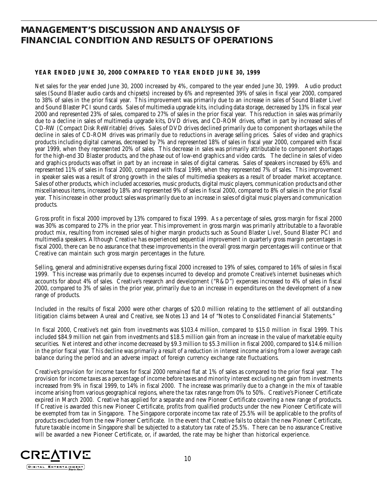### **MANAGEMENT'S DISCUSSION AND ANALYSIS OF FINANCIAL CONDITION AND RESULTS OF OPERATIONS**

### **YEAR ENDED JUNE 30, 2000 COMPARED TO YEAR ENDED JUNE 30, 1999**

Net sales for the year ended June 30, 2000 increased by 4%, compared to the year ended June 30, 1999. Audio product sales (Sound Blaster audio cards and chipsets) increased by 6% and represented 39% of sales in fiscal year 2000, compared to 38% of sales in the prior fiscal year. This improvement was primarily due to an increase in sales of Sound Blaster Live! and Sound Blaster PCI sound cards. Sales of multimedia upgrade kits, including data storage, decreased by 13% in fiscal year 2000 and represented 23% of sales, compared to 27% of sales in the prior fiscal year. This reduction in sales was primarily due to a decline in sales of multimedia upgrade kits, DVD drives, and CD-ROM drives, offset in part by increased sales of CD-RW (Compact Disk ReWritable) drives. Sales of DVD drives declined primarily due to component shortages while the decline in sales of CD-ROM drives was primarily due to reductions in average selling prices. Sales of video and graphics products including digital cameras, decreased by 7% and represented 18% of sales in fiscal year 2000, compared with fiscal year 1999, when they represented 20% of sales. This decrease in sales was primarily attributable to component shortages for the high-end 3D Blaster products, and the phase out of low-end graphics and video cards. The decline in sales of video and graphics products was offset in part by an increase in sales of digital cameras. Sales of speakers increased by 65% and represented 11% of sales in fiscal 2000, compared with fiscal 1999, when they represented 7% of sales. This improvement in speaker sales was a result of strong growth in the sales of multimedia speakers as a result of broader market acceptance. Sales of other products, which included accessories, music products, digital music players, communication products and other miscellaneous items, increased by 18% and represented 9% of sales in fiscal 2000, compared to 8% of sales in the prior fiscal year. This increase in other product sales was primarily due to an increase in sales of digital music players and communication products.

Gross profit in fiscal 2000 improved by 13% compared to fiscal 1999. As a percentage of sales, gross margin for fiscal 2000 was 30% as compared to 27% in the prior year. This improvement in gross margin was primarily attributable to a favorable product mix, resulting from increased sales of higher margin products such as Sound Blaster Live!, Sound Blaster PCI and multimedia speakers. Although Creative has experienced sequential improvement in quarterly gross margin percentages in fiscal 2000, there can be no assurance that these improvements in the overall gross margin percentages will continue or that Creative can maintain such gross margin percentages in the future.

Selling, general and administrative expenses during fiscal 2000 increased to 19% of sales, compared to 16% of sales in fiscal 1999. This increase was primarily due to expenses incurred to develop and promote Creative's internet businesses which accounts for about 4% of sales. Creative's research and development ("R&D") expenses increased to 4% of sales in fiscal 2000, compared to 3% of sales in the prior year, primarily due to an increase in expenditures on the development of a new range of products.

Included in the results of fiscal 2000 were other charges of \$20.0 million relating to the settlement of all outstanding litigation claims between Aureal and Creative, see Notes 13 and 14 of "Notes to Consolidated Financial Statements."

In fiscal 2000, Creative's net gain from investments was \$103.4 million, compared to \$15.0 million in fiscal 1999. This included \$84.9 million net gain from investments and \$18.5 million gain from an increase in the value of marketable equity securities. Net interest and other income decreased by \$9.3 million to \$5.3 million in fiscal 2000, compared to \$14.6 million in the prior fiscal year. This decline was primarily a result of a reduction in interest income arising from a lower average cash balance during the period and an adverse impact of foreign currency exchange rate fluctuations.

Creative's provision for income taxes for fiscal 2000 remained flat at 1% of sales as compared to the prior fiscal year. The provision for income taxes as a percentage of income before taxes and minority interest excluding net gain from investments increased from 9% in fiscal 1999, to 14% in fiscal 2000. The increase was primarily due to a change in the mix of taxable income arising from various geographical regions, where the tax rates range from 0% to 50%. Creative's Pioneer Certificate expired in March 2000. Creative has applied for a separate and new Pioneer Certificate covering a new range of products. If Creative is awarded this new Pioneer Certificate, profits from qualified products under the new Pioneer Certificate will be exempted from tax in Singapore. The Singapore corporate income tax rate of 25.5% will be applicable to the profits of products excluded from the new Pioneer Certificate. In the event that Creative fails to obtain the new Pioneer Certificate, future taxable income in Singapore shall be subjected to a statutory tax rate of 25.5%. There can be no assurance Creative will be awarded a new Pioneer Certificate, or, if awarded, the rate may be higher than historical experience.

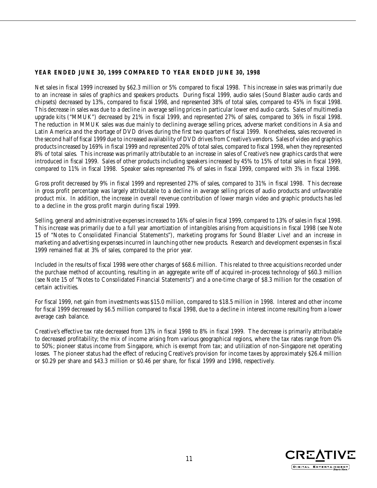### **YEAR ENDED JUNE 30, 1999 COMPARED TO YEAR ENDED JUNE 30, 1998**

Net sales in fiscal 1999 increased by \$62.3 million or 5% compared to fiscal 1998. This increase in sales was primarily due to an increase in sales of graphics and speakers products. During fiscal 1999, audio sales (Sound Blaster audio cards and chipsets) decreased by 13%, compared to fiscal 1998, and represented 38% of total sales, compared to 45% in fiscal 1998. This decrease in sales was due to a decline in average selling prices in particular lower end audio cards. Sales of multimedia upgrade kits ("MMUK") decreased by 21% in fiscal 1999, and represented 27% of sales, compared to 36% in fiscal 1998. The reduction in MMUK sales was due mainly to declining average selling prices, adverse market conditions in Asia and Latin America and the shortage of DVD drives during the first two quarters of fiscal 1999. Nonetheless, sales recovered in the second half of fiscal 1999 due to increased availability of DVD drives from Creative's vendors. Sales of video and graphics products increased by 169% in fiscal 1999 and represented 20% of total sales, compared to fiscal 1998, when they represented 8% of total sales. This increase was primarily attributable to an increase in sales of Creative's new graphics cards that were introduced in fiscal 1999. Sales of other products including speakers increased by 45% to 15% of total sales in fiscal 1999, compared to 11% in fiscal 1998. Speaker sales represented 7% of sales in fiscal 1999, compared with 3% in fiscal 1998.

Gross profit decreased by 9% in fiscal 1999 and represented 27% of sales, compared to 31% in fiscal 1998. This decrease in gross profit percentage was largely attributable to a decline in average selling prices of audio products and unfavorable product mix. In addition, the increase in overall revenue contribution of lower margin video and graphic products has led to a decline in the gross profit margin during fiscal 1999.

Selling, general and administrative expenses increased to 16% of sales in fiscal 1999, compared to 13% of sales in fiscal 1998. This increase was primarily due to a full year amortization of intangibles arising from acquisitions in fiscal 1998 (see Note 15 of "Notes to Consolidated Financial Statements"), marketing programs for Sound Blaster Live! and an increase in marketing and advertising expenses incurred in launching other new products. Research and development expenses in fiscal 1999 remained flat at 3% of sales, compared to the prior year.

Included in the results of fiscal 1998 were other charges of \$68.6 million. This related to three acquisitions recorded under the purchase method of accounting, resulting in an aggregate write off of acquired in-process technology of \$60.3 million (see Note 15 of "Notes to Consolidated Financial Statements") and a one-time charge of \$8.3 million for the cessation of certain activities.

For fiscal 1999, net gain from investments was \$15.0 million, compared to \$18.5 million in 1998. Interest and other income for fiscal 1999 decreased by \$6.5 million compared to fiscal 1998, due to a decline in interest income resulting from a lower average cash balance.

Creative's effective tax rate decreased from 13% in fiscal 1998 to 8% in fiscal 1999. The decrease is primarily attributable to decreased profitability; the mix of income arising from various geographical regions, where the tax rates range from 0% to 50%; pioneer status income from Singapore, which is exempt from tax; and utilization of non-Singapore net operating losses. The pioneer status had the effect of reducing Creative's provision for income taxes by approximately \$26.4 million or \$0.29 per share and \$43.3 million or \$0.46 per share, for fiscal 1999 and 1998, respectively.

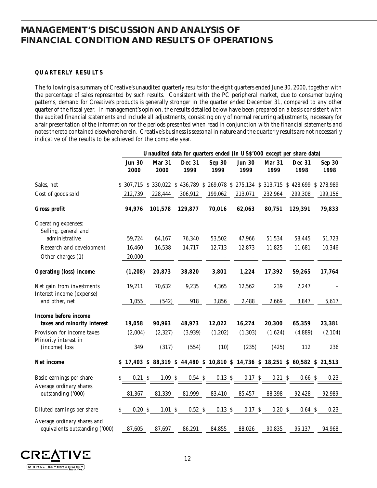### **MANAGEMENT'S DISCUSSION AND ANALYSIS OF FINANCIAL CONDITION AND RESULTS OF OPERATIONS**

### **QUARTERLY RESULTS**

The following is a summary of Creative's unaudited quarterly results for the eight quarters ended June 30, 2000, together with the percentage of sales represented by such results. Consistent with the PC peripheral market, due to consumer buying patterns, demand for Creative's products is generally stronger in the quarter ended December 31, compared to any other quarter of the fiscal year. In management's opinion, the results detailed below have been prepared on a basis consistent with the audited financial statements and include all adjustments, consisting only of normal recurring adjustments, necessary for a fair presentation of the information for the periods presented when read in conjunction with the financial statements and notes thereto contained elsewhere herein. Creative's business is seasonal in nature and the quarterly results are not necessarily indicative of the results to be achieved for the complete year.

|                                                               |                       |                |                |                       | Unaudited data for quarters ended (in USS'000 except per share data)            |                |                |                       |
|---------------------------------------------------------------|-----------------------|----------------|----------------|-----------------------|---------------------------------------------------------------------------------|----------------|----------------|-----------------------|
|                                                               | <b>Jun 30</b><br>2000 | Mar 31<br>2000 | Dec 31<br>1999 | <b>Sep 30</b><br>1999 | <b>Jun 30</b><br>1999                                                           | Mar 31<br>1999 | Dec 31<br>1998 | <b>Sep 30</b><br>1998 |
| Sales, net                                                    |                       |                |                |                       | \$ 307,715 \$ 330,022 \$ 436,789 \$ 269,078 \$ 275,134 \$ 313,715               |                | \$428,699      | \$278,989             |
| Cost of goods sold                                            | 212,739               | 228,444        | 306,912        | 199,062               | 213,071                                                                         | 232,964        | 299,308        | 199,156               |
| Gross profit                                                  | 94,976                | 101,578        | 129,877        | 70,016                | 62,063                                                                          | 80,751         | 129,391        | 79,833                |
| Operating expenses:<br>Selling, general and<br>administrative | 59,724                | 64,167         | 76,340         | 53,502                | 47,966                                                                          | 51,534         | 58,445         | 51,723                |
| Research and development                                      | 16,460                | 16,538         | 14,717         | 12,713                | 12,873                                                                          | 11,825         | 11,681         | 10,346                |
| Other charges (1)                                             | 20,000                |                |                |                       |                                                                                 |                |                |                       |
| <b>Operating (loss)</b> income                                | (1, 208)              | 20,873         | 38,820         | 3,801                 | 1,224                                                                           | 17,392         | 59,265         | 17,764                |
| Net gain from investments<br>Interest income (expense)        | 19,211                | 70,632         | 9,235          | 4,365                 | 12,562                                                                          | 239            | 2,247          |                       |
| and other, net                                                | 1,055                 | (542)          | 918            | 3,856                 | 2,488                                                                           | 2,669          | 3,847          | 5,617                 |
| Income before income<br>taxes and minority interest           | 19,058                | 90,963         | 48,973         | 12,022                | 16,274                                                                          | 20,300         | 65,359         | 23,381                |
| Provision for income taxes                                    | (2,004)               | (2,327)        | (3,939)        | (1,202)               | (1, 303)                                                                        | (1,624)        | (4,889)        | (2, 104)              |
| Minority interest in<br>(income) loss                         | 349                   | (317)          | (554)          | (10)                  | (235)                                                                           | (425)          | 112            | 236                   |
| Net income                                                    |                       |                |                |                       | \$ 17,403 \$ 88,319 \$ 44,480 \$ 10,810 \$ 14,736 \$ 18,251 \$ 60,582 \$ 21,513 |                |                |                       |
| Basic earnings per share                                      | 0.21 S<br>S           | $1.09\ \$$     | 0.54S          | 0.13 S                | 0.17S                                                                           | 0.21S          | 0.66S          | 0.23                  |
| Average ordinary shares<br>outstanding ('000)                 | 81,367                | 81,339         | 81,999         | 83,410                | 85,457                                                                          | 88,398         | 92,428         | 92,989                |
| Diluted earnings per share                                    | 0.20 S<br>\$          | 1.01S          | 0.52S          | 0.13S                 | 0.17S                                                                           | 0.20S          | 0.64S          | 0.23                  |
| Average ordinary shares and<br>equivalents outstanding ('000) | 87,605                | 87,697         | 86,291         | 84,855                | 88,026                                                                          | 90,835         | 95,137         | 94,968                |

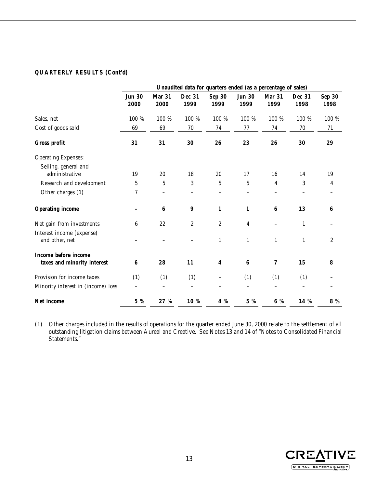### **QUARTERLY RESULTS (Cont'd)**

|                                                     |                       |                   | Unaudited data for quarters ended (as a percentage of sales) |                          |                       |                |                   |                       |
|-----------------------------------------------------|-----------------------|-------------------|--------------------------------------------------------------|--------------------------|-----------------------|----------------|-------------------|-----------------------|
|                                                     | <b>Jun 30</b><br>2000 | Mar 31<br>2000    | Dec 31<br>1999                                               | <b>Sep 30</b><br>1999    | <b>Jun 30</b><br>1999 | Mar 31<br>1999 | Dec 31<br>1998    | <b>Sep 30</b><br>1998 |
| Sales, net                                          | 100 %                 | 100 %             | 100 %                                                        | 100 %                    | 100 %                 | 100 %          | 100 %             | 100 %                 |
| Cost of goods sold                                  | 69                    | 69                | 70                                                           | 74                       | 77                    | 74             | $70\,$            | 71                    |
| Gross profit                                        | 31                    | 31                | 30                                                           | 26                       | 23                    | 26             | 30                | 29                    |
| <b>Operating Expenses:</b>                          |                       |                   |                                                              |                          |                       |                |                   |                       |
| Selling, general and<br>administrative              | 19                    | 20                | 18                                                           | 20                       | 17                    | 16             | 14                | 19                    |
| Research and development                            | 5                     | 5                 | 3                                                            | $\bf 5$                  | $\mathbf 5$           | $\overline{4}$ | 3                 | 4                     |
| Other charges (1)                                   | 7                     | $\qquad \qquad -$ | $\qquad \qquad -$                                            |                          | —                     |                | $\qquad \qquad -$ |                       |
| <b>Operating income</b>                             |                       | $\bf 6$           | $\boldsymbol{9}$                                             | $\mathbf{1}$             | $\mathbf{1}$          | $\bf 6$        | 13                | 6                     |
| Net gain from investments                           | 6                     | 22                | $\boldsymbol{2}$                                             | $\boldsymbol{2}$         | 4                     |                | $\mathbf{1}$      |                       |
| Interest income (expense)<br>and other, net         |                       |                   |                                                              | $\mathbf{1}$             | $\mathbf{1}$          | $\mathbf{1}$   | $\mathbf{1}$      | $\boldsymbol{2}$      |
| Income before income<br>taxes and minority interest | 6                     | 28                | 11                                                           | $\overline{\mathbf{4}}$  | $6\phantom{1}6$       | 7              | 15                | 8                     |
| Provision for income taxes                          | (1)                   | (1)               | (1)                                                          | $\overline{\phantom{0}}$ | (1)                   | (1)            | (1)               |                       |
| Minority interest in (income) loss                  |                       | $\qquad \qquad -$ | $\qquad \qquad -$                                            |                          |                       |                | $\qquad \qquad -$ |                       |
| Net income                                          | $5~\%$                | 27 %              | 10 %                                                         | 4 %                      | $5\ \%$               | 6 %            | 14 %              | 8 %                   |

(1) Other charges included in the results of operations for the quarter ended June 30, 2000 relate to the settlement of all outstanding litigation claims between Aureal and Creative. See Notes 13 and 14 of "Notes to Consolidated Financial Statements."

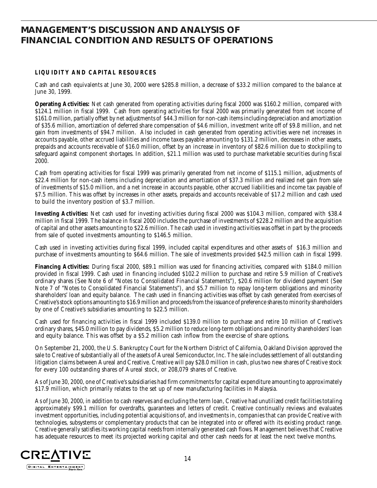### **MANAGEMENT'S DISCUSSION AND ANALYSIS OF FINANCIAL CONDITION AND RESULTS OF OPERATIONS**

### **LIQUIDITY AND CAPITAL RESOURCES**

Cash and cash equivalents at June 30, 2000 were \$285.8 million, a decrease of \$33.2 million compared to the balance at June 30, 1999.

**Operating Activities:** Net cash generated from operating activities during fiscal 2000 was \$160.2 million, compared with \$124.1 million in fiscal 1999. Cash from operating activities for fiscal 2000 was primarily generated from net income of \$161.0 million, partially offset by net adjustments of \$44.3 million for non-cash items including depreciation and amortization of \$35.6 million, amortization of deferred share compensation of \$4.6 million, investment write off of \$9.8 million, and net gain from investments of \$94.7 million. Also included in cash generated from operating activities were net increases in accounts payable, other accrued liabilities and income taxes payable amounting to \$131.2 million, decreases in other assets, prepaids and accounts receivable of \$16.0 million, offset by an increase in inventory of \$82.6 million due to stockpiling to safeguard against component shortages. In addition, \$21.1 million was used to purchase marketable securities during fiscal 2000.

Cash from operating activities for fiscal 1999 was primarily generated from net income of \$115.1 million, adjustments of \$22.4 million for non-cash items including depreciation and amortization of \$37.3 million and realized net gain from sale of investments of \$15.0 million, and a net increase in accounts payable, other accrued liabilities and income tax payable of \$7.5 million. This was offset by increases in other assets, prepaids and accounts receivable of \$17.2 million and cash used to build the inventory position of \$3.7 million.

**Investing Activities:** Net cash used for investing activities during fiscal 2000 was \$104.3 million, compared with \$38.4 million in fiscal 1999. The balance in fiscal 2000 includes the purchase of investments of \$228.2 million and the acquisition of capital and other assets amounting to \$22.6 million. The cash used in investing activities was offset in part by the proceeds from sale of quoted investments amounting to \$146.5 million.

Cash used in investing activities during fiscal 1999, included capital expenditures and other assets of \$16.3 million and purchase of investments amounting to \$64.6 million. The sale of investments provided \$42.5 million cash in fiscal 1999.

**Financing Activities:** During fiscal 2000, \$89.1 million was used for financing activities, compared with \$184.0 million provided in fiscal 1999. Cash used in financing included \$102.2 million to purchase and retire 5.9 million of Creative's ordinary shares (See Note 6 of "Notes to Consolidated Financial Statements"), \$20.6 million for dividend payment (See Note 7 of "Notes to Consolidated Financial Statements"), and \$5.7 million to repay long-term obligations and minority shareholders' loan and equity balance. The cash used in financing activities was offset by cash generated from exercises of Creative's stock options amounting to \$16.9 million and proceeds from the issuance of preference shares to minority shareholders by one of Creative's subsidiaries amounting to \$22.5 million.

Cash used for financing activities in fiscal 1999 included \$139.0 million to purchase and retire 10 million of Creative's ordinary shares, \$45.0 million to pay dividends, \$5.2 million to reduce long-term obligations and minority shareholders' loan and equity balance. This was offset by a \$5.2 million cash inflow from the exercise of share options.

On September 21, 2000, the U.S. Bankruptcy Court for the Northern District of California, Oakland Division approved the sale to Creative of substantially all of the assets of Aureal Semiconductor, Inc. The sale includes settlement of all outstanding litigation claims between Aureal and Creative. Creative will pay \$28.0 million in cash, plus two new shares of Creative stock for every 100 outstanding shares of Aureal stock, or 208,079 shares of Creative.

As of June 30, 2000, one of Creative's subsidiaries had firm commitments for capital expenditure amounting to approximately \$17.9 million, which primarily relates to the set up of new manufacturing facilities in Malaysia.

As of June 30, 2000, in addition to cash reserves and excluding the term loan, Creative had unutilized credit facilities totaling approximately \$99.1 million for overdrafts, guarantees and letters of credit. Creative continually reviews and evaluates investment opportunities, including potential acquisitions of, and investments in, companies that can provide Creative with technologies, subsystems or complementary products that can be integrated into or offered with its existing product range. Creative generally satisfies its working capital needs from internally generated cash flows. Management believes that Creative has adequate resources to meet its projected working capital and other cash needs for at least the next twelve months.

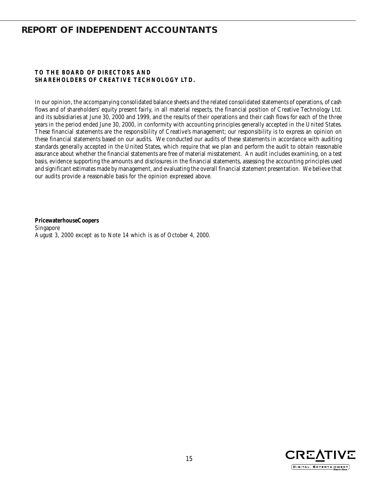### **REPORT OF INDEPENDENT ACCOUNTANTS**

### **TO THE BOARD OF DIRECTORS AND SHAREHOLDERS OF CREATIVE TECHNOLOGY LTD.**

In our opinion, the accompanying consolidated balance sheets and the related consolidated statements of operations, of cash flows and of shareholders' equity present fairly, in all material respects, the financial position of Creative Technology Ltd. and its subsidiaries at June 30, 2000 and 1999, and the results of their operations and their cash flows for each of the three years in the period ended June 30, 2000, in conformity with accounting principles generally accepted in the United States. These financial statements are the responsibility of Creative's management; our responsibility is to express an opinion on these financial statements based on our audits. We conducted our audits of these statements in accordance with auditing standards generally accepted in the United States, which require that we plan and perform the audit to obtain reasonable assurance about whether the financial statements are free of material misstatement. An audit includes examining, on a test basis, evidence supporting the amounts and disclosures in the financial statements, assessing the accounting principles used and significant estimates made by management, and evaluating the overall financial statement presentation. We believe that our audits provide a reasonable basis for the opinion expressed above.

**PricewaterhouseCoopers** Singapore August 3, 2000 except as to Note 14 which is as of October 4, 2000.

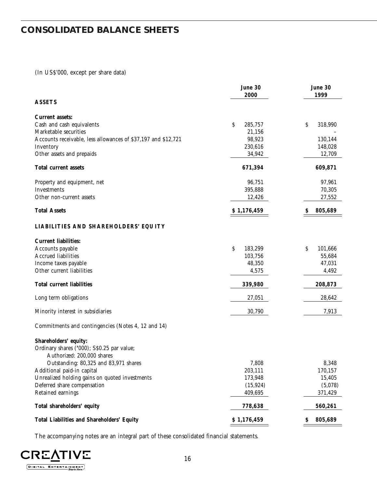## **CONSOLIDATED BALANCE SHEETS**

### (In US\$'000, except per share data)

|                                                                                                   | June 30<br>2000 | June 30<br>1999 |
|---------------------------------------------------------------------------------------------------|-----------------|-----------------|
| <b>ASSETS</b>                                                                                     |                 |                 |
| <b>Current assets:</b>                                                                            |                 |                 |
| Cash and cash equivalents                                                                         | \$<br>285,757   | \$<br>318,990   |
| Marketable securities                                                                             | 21,156          |                 |
| Accounts receivable, less allowances of \$37,197 and \$12,721                                     | 98,923          | 130,144         |
| Inventory                                                                                         | 230,616         | 148,028         |
| Other assets and prepaids                                                                         | 34,942          | 12,709          |
| Total current assets                                                                              | 671,394         | 609,871         |
| Property and equipment, net                                                                       | 96,751          | 97,961          |
| Investments                                                                                       | 395,888         | 70,305          |
| Other non-current assets                                                                          | 12,426          | 27,552          |
| <b>Total Assets</b>                                                                               | \$1,176,459     | 805,689<br>S    |
| LIABILITIES AND SHAREHOLDERS' EQUITY                                                              |                 |                 |
| <b>Current liabilities:</b>                                                                       |                 |                 |
| Accounts payable                                                                                  | \$<br>183,299   | \$<br>101,666   |
| <b>Accrued liabilities</b>                                                                        | 103,756         | 55,684          |
| Income taxes payable                                                                              | 48,350          | 47,031          |
| Other current liabilities                                                                         | 4,575           | 4,492           |
| <b>Total current liabilities</b>                                                                  | 339,980         | 208,873         |
| Long term obligations                                                                             | 27,051          | 28,642          |
| Minority interest in subsidiaries                                                                 | 30,790          | 7,913           |
| Commitments and contingencies (Notes 4, 12 and 14)                                                |                 |                 |
| Shareholders' equity:<br>Ordinary shares ('000); S\$0.25 par value;<br>Authorized: 200,000 shares |                 |                 |
| Outstanding: 80,325 and 83,971 shares                                                             | 7,808           | 8,348           |
| Additional paid-in capital                                                                        | 203,111         | 170,157         |
| Unrealized holding gains on quoted investments                                                    | 173,948         | 15,405          |
| Deferred share compensation                                                                       | (15, 924)       | (5,078)         |
| Retained earnings                                                                                 | 409,695         | 371,429         |
| Total shareholders' equity                                                                        | 778,638         | 560,261         |
| <b>Total Liabilities and Shareholders' Equity</b>                                                 | \$1,176,459     | 805,689<br>Ş    |

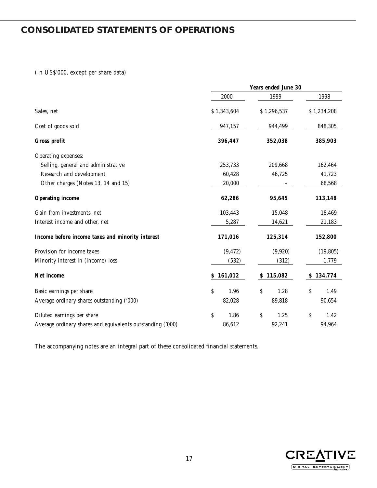## **CONSOLIDATED STATEMENTS OF OPERATIONS**

(In US\$'000, except per share data)

|                                                            | <b>Years ended June 30</b> |             |    |             |    |             |
|------------------------------------------------------------|----------------------------|-------------|----|-------------|----|-------------|
|                                                            |                            | 2000        |    | 1999        |    | 1998        |
| Sales, net                                                 |                            | \$1,343,604 |    | \$1,296,537 |    | \$1,234,208 |
| Cost of goods sold                                         |                            | 947,157     |    | 944,499     |    | 848,305     |
| Gross profit                                               |                            | 396,447     |    | 352,038     |    | 385,903     |
| Operating expenses:                                        |                            |             |    |             |    |             |
| Selling, general and administrative                        |                            | 253,733     |    | 209,668     |    | 162,464     |
| Research and development                                   |                            | 60,428      |    | 46,725      |    | 41,723      |
| Other charges (Notes 13, 14 and 15)                        |                            | 20,000      |    |             |    | 68,568      |
| <b>Operating income</b>                                    |                            | 62,286      |    | 95,645      |    | 113,148     |
| Gain from investments, net                                 |                            | 103,443     |    | 15,048      |    | 18,469      |
| Interest income and other, net                             |                            | 5,287       |    | 14,621      |    | 21,183      |
| Income before income taxes and minority interest           |                            | 171,016     |    | 125,314     |    | 152,800     |
| Provision for income taxes                                 |                            | (9, 472)    |    | (9,920)     |    | (19, 805)   |
| Minority interest in (income) loss                         |                            | (532)       |    | (312)       |    | 1,779       |
| Net income                                                 | S.                         | 161,012     | S  | 115,082     |    | 134,774     |
| Basic earnings per share                                   | \$                         | 1.96        | \$ | 1.28        | \$ | 1.49        |
| Average ordinary shares outstanding ('000)                 |                            | 82,028      |    | 89,818      |    | 90,654      |
| Diluted earnings per share                                 | \$                         | 1.86        | \$ | 1.25        | \$ | 1.42        |
| Average ordinary shares and equivalents outstanding ('000) |                            | 86,612      |    | 92,241      |    | 94,964      |

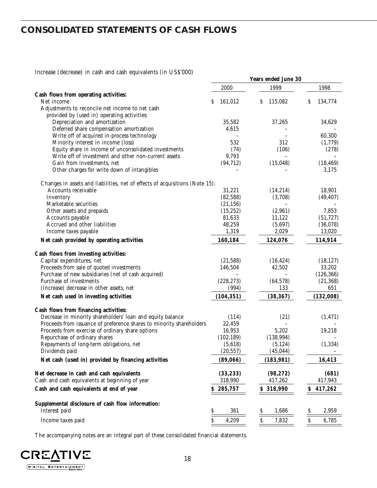## **CONSOLIDATED STATEMENTS OF CASH FLOWS**

Increase (decrease) in cash and cash equivalents (in US\$'000)

|                                                                              |               | Years ended June 30                |               |
|------------------------------------------------------------------------------|---------------|------------------------------------|---------------|
|                                                                              | 2000          | 1999                               | 1998          |
| Cash flows from operating activities:                                        |               |                                    |               |
| Net income                                                                   | \$<br>161,012 | 115,082<br>S                       | S<br>134,774  |
| Adjustments to reconcile net income to net cash                              |               |                                    |               |
| provided by (used in) operating activities:<br>Depreciation and amortization | 35,582        | 37,265                             | 34,629        |
| Deferred share compensation amortization                                     | 4,615         |                                    |               |
| Write off of acquired in-process technology                                  |               |                                    | 60,300        |
| Minority interest in income (loss)                                           | 532           | 312                                | (1,779)       |
| Equity share in income of unconsolidated investments                         | (74)          | (106)                              | (278)         |
| Write off of investment and other non-current assets                         | 9,793         |                                    |               |
| Gain from investments, net                                                   | (94, 712)     | (15, 048)                          | (18, 469)     |
| Other charges for write down of intangibles                                  |               |                                    | 3,175         |
|                                                                              |               |                                    |               |
| Changes in assets and liabilities, net of effects of acquisitions (Note 15): |               |                                    |               |
| Accounts receivable                                                          | 31,221        | (14, 214)                          | 18,901        |
| Inventory                                                                    | (82, 588)     | (3,708)                            | (49, 407)     |
| Marketable securities                                                        | (21, 156)     |                                    |               |
| Other assets and prepaids                                                    | (15, 252)     | (2,961)                            | 7,853         |
| Accounts payable                                                             | 81,633        | 11,122                             | (51, 727)     |
| Accrued and other liabilities                                                | 48,259        | (5,697)                            | (36,078)      |
| Income taxes payable                                                         | 1,319         | 2,029                              | 13,020        |
| Net cash provided by operating activities                                    | 160,184       | 124,076                            | 114,914       |
| Cash flows from investing activities:                                        |               |                                    |               |
| Capital expenditures, net                                                    | (21, 588)     | (16, 424)                          | (18, 127)     |
| Proceeds from sale of quoted investments                                     | 146,504       | 42,502                             | 33,202        |
| Purchase of new subsidiaries (net of cash acquired)                          |               |                                    | (126, 366)    |
| Purchase of investments                                                      | (228, 273)    | (64, 578)                          | (21, 368)     |
| (Increase) decrease in other assets, net                                     | (994)         | 133                                | 651           |
| Net cash used in investing activities                                        | (104, 351)    | (38, 367)                          | (132,008)     |
| Cash flows from financing activities:                                        |               |                                    |               |
| Decrease in minority shareholders' loan and equity balance                   | (114)         | (21)                               | (1, 471)      |
| Proceeds from issuance of preference shares to minority shareholders         | 22,459        |                                    |               |
| Proceeds from exercise of ordinary share options                             | 16,953        | 5,202                              | 19,218        |
| Repurchase of ordinary shares                                                | (102, 189)    | (138, 994)                         |               |
| Repayments of long-term obligations, net                                     | (5,618)       | (5, 124)                           | (1, 334)      |
| Dividends paid                                                               | (20, 557)     | (45, 044)                          |               |
|                                                                              |               |                                    |               |
| Net cash (used in) provided by financing activities                          | (89,066)      | (183, 981)                         | 16,413        |
| Net decrease in cash and cash equivalents                                    | (33, 233)     | (98, 272)                          | (681)         |
| Cash and cash equivalents at beginning of year                               | 318,990       | 417,262                            | 417,943       |
| Cash and cash equivalents at end of year                                     | 285,757<br>S. | \$318,990                          | \$<br>417,262 |
|                                                                              |               |                                    |               |
| Supplemental disclosure of cash flow information:<br>Interest paid           | 361<br>\$     | 1,686<br>Ş                         | \$<br>2,959   |
|                                                                              |               |                                    |               |
| Income taxes paid                                                            | 4,209<br>S.   | $\boldsymbol{\mathsf{S}}$<br>7,832 | \$<br>6,785   |

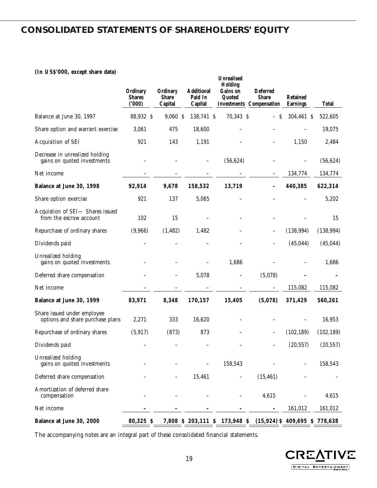### **CONSOLIDATED STATEMENTS OF SHAREHOLDERS' EQUITY**

### **(In US\$'000, except share data)**

|                                                                 | Ordinary<br><b>Shares</b><br>(000) | Ordinary<br><b>Share</b><br>Capital | <b>Additional</b><br>Paid In<br>Capital | <b>Unrealised</b><br>Holding<br>Gains on<br>Quoted | <b>Deferred</b><br><b>Share</b><br><b>Investments Compensation</b> | <b>Retained</b><br><b>Earnings</b> | <b>Total</b> |
|-----------------------------------------------------------------|------------------------------------|-------------------------------------|-----------------------------------------|----------------------------------------------------|--------------------------------------------------------------------|------------------------------------|--------------|
| Balance at June 30, 1997                                        | 88,932 \$                          | 9,060 \$                            | 138,741 \$                              | 70,343 \$                                          | - S                                                                | 304,461 \$                         | 522,605      |
| Share option and warrant exercise                               | 3,061                              | 475                                 | 18,600                                  |                                                    |                                                                    |                                    | 19,075       |
| Acquisition of SEI                                              | 921                                | 143                                 | 1,191                                   |                                                    |                                                                    | 1,150                              | 2,484        |
| Decrease in unrealized holding<br>gains on quoted investments   |                                    |                                     |                                         | (56, 624)                                          |                                                                    |                                    | (56, 624)    |
| Net income                                                      |                                    |                                     |                                         |                                                    |                                                                    | 134,774                            | 134,774      |
| Balance at June 30, 1998                                        | 92,914                             | 9,678                               | 158,532                                 | 13,719                                             | $\overline{\phantom{a}}$                                           | 440,385                            | 622,314      |
| Share option exercise                                           | 921                                | 137                                 | 5,065                                   |                                                    |                                                                    |                                    | 5,202        |
| Acquistion of SEI- Shares issued<br>from the escrow account     | 102                                | 15                                  |                                         |                                                    |                                                                    |                                    | 15           |
| Repurchase of ordinary shares                                   | (9,966)                            | (1, 482)                            | 1,482                                   |                                                    | —                                                                  | (138, 994)                         | (138, 994)   |
| Dividends paid                                                  |                                    |                                     |                                         |                                                    |                                                                    | (45, 044)                          | (45, 044)    |
| Unrealized holding<br>gains on quoted investments               |                                    |                                     |                                         | 1,686                                              |                                                                    |                                    | 1,686        |
| Deferred share compensation                                     |                                    |                                     | 5,078                                   | $\overline{\phantom{0}}$                           | (5,078)                                                            |                                    |              |
| Net income                                                      |                                    |                                     |                                         |                                                    | $\qquad \qquad -$                                                  | 115,082                            | 115,082      |
| Balance at June 30, 1999                                        | 83,971                             | 8,348                               | 170,157                                 | 15,405                                             | (5,078)                                                            | 371,429                            | 560,261      |
| Share issued under employee<br>options and share purchase plans | 2,271                              | 333                                 | 16,620                                  |                                                    |                                                                    |                                    | 16,953       |
| Repurchase of ordinary shares                                   | (5, 917)                           | (873)                               | 873                                     |                                                    |                                                                    | (102, 189)                         | (102, 189)   |
| Dividends paid                                                  |                                    |                                     |                                         |                                                    |                                                                    | (20, 557)                          | (20, 557)    |
| Unrealized holding<br>gains on quoted investments               |                                    |                                     |                                         | 158,543                                            |                                                                    |                                    | 158,543      |
| Deferred share compensation                                     |                                    |                                     | 15,461                                  |                                                    | (15, 461)                                                          |                                    |              |
| Amortization of deferred share<br>compensation                  |                                    |                                     |                                         |                                                    | 4,615                                                              |                                    | 4,615        |
| Net income                                                      |                                    |                                     |                                         |                                                    |                                                                    | 161,012                            | 161,012      |
| Balance at June 30, 2000                                        | 80,325 \$                          |                                     |                                         | 7,808 \$ 203,111 \$ 173,948 \$                     | $(15,924)$ \$ 409,695 \$ 778,638                                   |                                    |              |

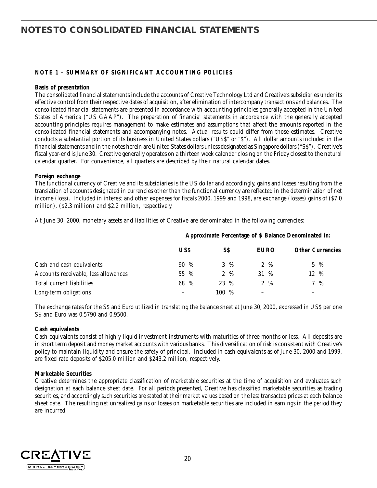### **NOTE 1 – SUMMARY OF SIGNIFICANT ACCOUNTING POLICIES**

#### **Basis of presentation**

The consolidated financial statements include the accounts of Creative Technology Ltd and Creative's subsidiaries under its effective control from their respective dates of acquisition, after elimination of intercompany transactions and balances. The consolidated financial statements are presented in accordance with accounting principles generally accepted in the United States of America ("US GAAP"). The preparation of financial statements in accordance with the generally accepted accounting principles requires management to make estimates and assumptions that affect the amounts reported in the consolidated financial statements and accompanying notes. Actual results could differ from those estimates. Creative conducts a substantial portion of its business in United States dollars ("US\$" or "\$"). All dollar amounts included in the financial statements and in the notes herein are United States dollars unless designated as Singapore dollars ("S\$"). Creative's fiscal year-end is June 30. Creative generally operates on a thirteen week calendar closing on the Friday closest to the natural calendar quarter. For convenience, all quarters are described by their natural calendar dates.

### **Foreign exchange**

The functional currency of Creative and its subsidiaries is the US dollar and accordingly, gains and losses resulting from the translation of accounts designated in currencies other than the functional currency are reflected in the determination of net income (loss). Included in interest and other expenses for fiscals 2000, 1999 and 1998, are exchange (losses) gains of (\$7.0 million), (\$2.3 million) and \$2.2 million, respectively.

At June 30, 2000, monetary assets and liabilities of Creative are denominated in the following currencies:

|                                      |            | Approximate Percentage of \$ Balance Denominated in: |                 |                         |  |  |  |  |
|--------------------------------------|------------|------------------------------------------------------|-----------------|-------------------------|--|--|--|--|
|                                      | <b>USS</b> | SS                                                   | <b>EURO</b>     | <b>Other Currencies</b> |  |  |  |  |
| Cash and cash equivalents            | $90\%$     | $3\%$                                                | $2\%$           | $5 \frac{9}{6}$         |  |  |  |  |
| Accounts receivable, less allowances | 55 %       | $2 \frac{9}{6}$                                      | 31 %            | 12 %                    |  |  |  |  |
| Total current liabilities            | 68 %       | 23 %                                                 | $2 \frac{9}{6}$ | $7\%$                   |  |  |  |  |
| Long-term obligations                |            | 100 %                                                |                 |                         |  |  |  |  |

The exchange rates for the S\$ and Euro utilized in translating the balance sheet at June 30, 2000, expressed in US\$ per one S\$ and Euro was 0.5790 and 0.9500.

#### **Cash equivalents**

Cash equivalents consist of highly liquid investment instruments with maturities of three months or less. All deposits are in short term deposit and money market accounts with various banks. This diversification of risk is consistent with Creative's policy to maintain liquidity and ensure the safety of principal. Included in cash equivalents as of June 30, 2000 and 1999, are fixed rate deposits of \$205.0 million and \$243.2 million, respectively.

#### **Marketable Securities**

Creative determines the appropriate classification of marketable securities at the time of acquisition and evaluates such designation at each balance sheet date. For all periods presented, Creative has classified marketable securities as trading securities, and accordingly such securities are stated at their market values based on the last transacted prices at each balance sheet date. The resulting net unrealized gains or losses on marketable securities are included in earnings in the period they are incurred.

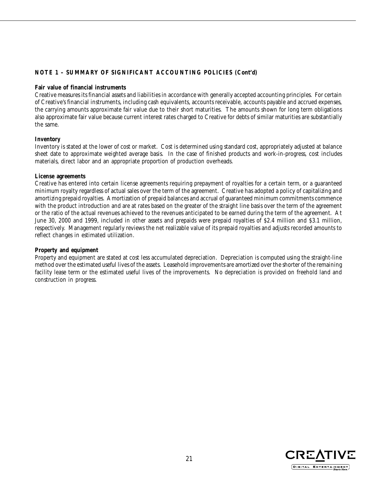### **NOTE 1 – SUMMARY OF SIGNIFICANT ACCOUNTING POLICIES (Cont'd)**

### **Fair value of financial instruments**

Creative measures its financial assets and liabilities in accordance with generally accepted accounting principles. For certain of Creative's financial instruments, including cash equivalents, accounts receivable, accounts payable and accrued expenses, the carrying amounts approximate fair value due to their short maturities. The amounts shown for long term obligations also approximate fair value because current interest rates charged to Creative for debts of similar maturities are substantially the same.

### **Inventory**

Inventory is stated at the lower of cost or market. Cost is determined using standard cost, appropriately adjusted at balance sheet date to approximate weighted average basis. In the case of finished products and work-in-progress, cost includes materials, direct labor and an appropriate proportion of production overheads.

### **License agreements**

Creative has entered into certain license agreements requiring prepayment of royalties for a certain term, or a guaranteed minimum royalty regardless of actual sales over the term of the agreement. Creative has adopted a policy of capitalizing and amortizing prepaid royalties. Amortization of prepaid balances and accrual of guaranteed minimum commitments commence with the product introduction and are at rates based on the greater of the straight line basis over the term of the agreement or the ratio of the actual revenues achieved to the revenues anticipated to be earned during the term of the agreement. At June 30, 2000 and 1999, included in other assets and prepaids were prepaid royalties of \$2.4 million and \$3.1 million, respectively. Management regularly reviews the net realizable value of its prepaid royalties and adjusts recorded amounts to reflect changes in estimated utilization.

#### **Property and equipment**

Property and equipment are stated at cost less accumulated depreciation. Depreciation is computed using the straight-line method over the estimated useful lives of the assets. Leasehold improvements are amortized over the shorter of the remaining facility lease term or the estimated useful lives of the improvements. No depreciation is provided on freehold land and construction in progress.

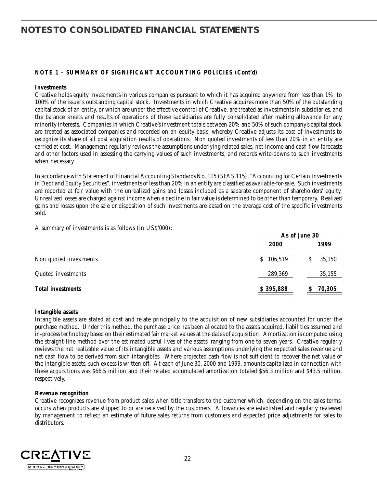### **NOTE 1 – SUMMARY OF SIGNIFICANT ACCOUNTING POLICIES (Cont'd)**

#### **Investments**

Creative holds equity investments in various companies pursuant to which it has acquired anywhere from less than 1% to 100% of the issuer's outstanding capital stock. Investments in which Creative acquires more than 50% of the outstanding capital stock of an entity, or which are under the effective control of Creative, are treated as investments in subsidiaries, and the balance sheets and results of operations of these subsidiaries are fully consolidated after making allowance for any minority interests. Companies in which Creative's investment totals between 20% and 50% of such company's capital stock are treated as associated companies and recorded on an equity basis, whereby Creative adjusts its cost of investments to recognize its share of all post acquisition results of operations. Non quoted investments of less than 20% in an entity are carried at cost. Management regularly reviews the assumptions underlying related sales, net income and cash flow forecasts and other factors used in assessing the carrying values of such investments, and records write-downs to such investments when necessary.

In accordance with Statement of Financial Accounting Standards No. 115 (SFAS 115), "Accounting for Certain Investments in Debt and Equity Securities", investments of less than 20% in an entity are classified as available-for-sale. Such investments are reported at fair value with the unrealized gains and losses included as a separate component of shareholders' equity. Unrealized losses are charged against income when a decline in fair value is determined to be other than temporary. Realized gains and losses upon the sale or disposition of such investments are based on the average cost of the specific investments sold.

A summary of investments is as follows (in US\$'000):

|                          |               | As of June 30 |
|--------------------------|---------------|---------------|
|                          | <b>2000</b>   | 1999          |
| Non quoted investments   | 106,519<br>S. | 35,150        |
| Quoted investments       | 289,369       | 35,155        |
| <b>Total investments</b> | \$395,888     | 70,305        |

#### **Intangible assets**

Intangible assets are stated at cost and relate principally to the acquisition of new subsidiaries accounted for under the purchase method. Under this method, the purchase price has been allocated to the assets acquired, liabilities assumed and in-process technology based on their estimated fair market values at the dates of acquisition. Amortization is computed using the straight-line method over the estimated useful lives of the assets, ranging from one to seven years. Creative regularly reviews the net realizable value of its intangible assets and various assumptions underlying the expected sales revenue and net cash flow to be derived from such intangibles. Where projected cash flow is not sufficient to recover the net value of the intangible assets, such excess is written off. At each of June 30, 2000 and 1999, amounts capitalized in connection with these acquisitions was \$66.5 million and their related accumulated amortization totaled \$56.3 million and \$43.5 million, respectively.

#### **Revenue recognition**

Creative recognizes revenue from product sales when title transfers to the customer which, depending on the sales terms, occurs when products are shipped to or are received by the customers. Allowances are established and regularly reviewed by management to reflect an estimate of future sales returns from customers and expected price adjustments for sales to distributors.

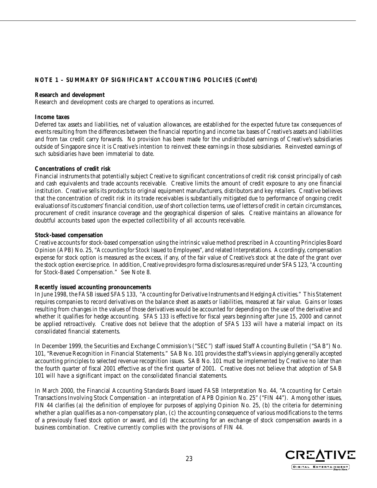### **NOTE 1 – SUMMARY OF SIGNIFICANT ACCOUNTING POLICIES (Cont'd)**

#### **Research and development**

Research and development costs are charged to operations as incurred.

#### **Income taxes**

Deferred tax assets and liabilities, net of valuation allowances, are established for the expected future tax consequences of events resulting from the differences between the financial reporting and income tax bases of Creative's assets and liabilities and from tax credit carry forwards. No provision has been made for the undistributed earnings of Creative's subsidiaries outside of Singapore since it is Creative's intention to reinvest these earnings in those subsidiaries. Reinvested earnings of such subsidiaries have been immaterial to date.

### **Concentrations of credit risk**

Financial instruments that potentially subject Creative to significant concentrations of credit risk consist principally of cash and cash equivalents and trade accounts receivable. Creative limits the amount of credit exposure to any one financial institution. Creative sells its products to original equipment manufacturers, distributors and key retailers. Creative believes that the concentration of credit risk in its trade receivables is substantially mitigated due to performance of ongoing credit evaluations of its customers' financial condition, use of short collection terms, use of letters of credit in certain circumstances, procurement of credit insurance coverage and the geographical dispersion of sales. Creative maintains an allowance for doubtful accounts based upon the expected collectibility of all accounts receivable.

### **Stock-based compensation**

Creative accounts for stock-based compensation using the intrinsic value method prescribed in Accounting Principles Board Opinion (APB) No. 25, "Accounting for Stock Issued to Employees", and related Interpretations. Accordingly, compensation expense for stock option is measured as the excess, if any, of the fair value of Creative's stock at the date of the grant over the stock option exercise price. In addition, Creative provides pro forma disclosures as required under SFAS 123, "Accounting for Stock-Based Compensation." See Note 8.

#### **Recently issued accounting pronouncements**

In June 1998, the FASB issued SFAS 133, "Accounting for Derivative Instruments and Hedging Activities." This Statement requires companies to record derivatives on the balance sheet as assets or liabilities, measured at fair value. Gains or losses resulting from changes in the values of those derivatives would be accounted for depending on the use of the derivative and whether it qualifies for hedge accounting. SFAS 133 is effective for fiscal years beginning after June 15, 2000 and cannot be applied retroactively. Creative does not believe that the adoption of SFAS 133 will have a material impact on its consolidated financial statements.

In December 1999, the Securities and Exchange Commission's ("SEC") staff issued Staff Accounting Bulletin ("SAB") No. 101, "Revenue Recognition in Financial Statements." SAB No. 101 provides the staff's views in applying generally accepted accounting principles to selected revenue recognition issues. SAB No. 101 must be implemented by Creative no later than the fourth quarter of fiscal 2001 effective as of the first quarter of 2001. Creative does not believe that adoption of SAB 101 will have a significant impact on the consolidated financial statements.

In March 2000, the Financial Accounting Standards Board issued FASB Interpretation No. 44, "Accounting for Certain Transactions Involving Stock Compensation - an interpretation of APB Opinion No. 25" ("FIN 44"). Among other issues, FIN 44 clarifies (a) the definition of employee for purposes of applying Opinion No. 25, (b) the criteria for determining whether a plan qualifies as a non-compensatory plan, (c) the accounting consequence of various modifications to the terms of a previously fixed stock option or award, and (d) the accounting for an exchange of stock compensation awards in a business combination. Creative currently complies with the provisions of FIN 44.

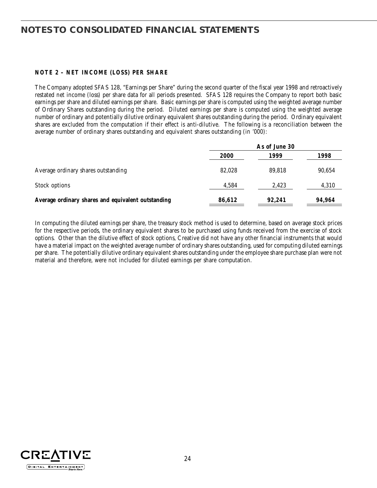### **NOTE 2 – NET INCOME (LOSS) PER SHARE**

The Company adopted SFAS 128, "Earnings per Share" during the second quarter of the fiscal year 1998 and retroactively restated net income (loss) per share data for all periods presented. SFAS 128 requires the Company to report both basic earnings per share and diluted earnings per share. Basic earnings per share is computed using the weighted average number of Ordinary Shares outstanding during the period. Diluted earnings per share is computed using the weighted average number of ordinary and potentially dilutive ordinary equivalent shares outstanding during the period. Ordinary equivalent shares are excluded from the computation if their effect is anti-dilutive. The following is a reconciliation between the average number of ordinary shares outstanding and equivalent shares outstanding (in '000):

|                                                    | As of June 30 |        |        |
|----------------------------------------------------|---------------|--------|--------|
|                                                    | 2000          | 1999   | 1998   |
| Average ordinary shares outstanding                | 82.028        | 89.818 | 90,654 |
| Stock options                                      | 4,584         | 2,423  | 4,310  |
| Average ordinary shares and equivalent outstanding | 86,612        | 92.241 | 94,964 |

In computing the diluted earnings per share, the treasury stock method is used to determine, based on average stock prices for the respective periods, the ordinary equivalent shares to be purchased using funds received from the exercise of stock options. Other than the dilutive effect of stock options, Creative did not have any other financial instruments that would have a material impact on the weighted average number of ordinary shares outstanding, used for computing diluted earnings per share. The potentially dilutive ordinary equivalent shares outstanding under the employee share purchase plan were not material and therefore, were not included for diluted earnings per share computation.

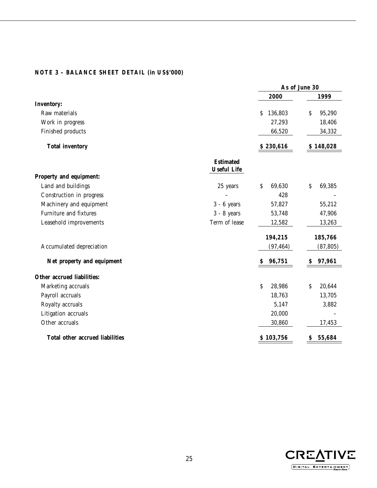### **NOTE 3 – BALANCE SHEET DETAIL (in US\$'000)**

|                                 |                                        | As of June 30 |              |  |
|---------------------------------|----------------------------------------|---------------|--------------|--|
|                                 |                                        | 2000          | 1999         |  |
| <b>Inventory:</b>               |                                        |               |              |  |
| Raw materials                   |                                        | 136,803<br>S  | \$<br>95,290 |  |
| Work in progress                |                                        | 27,293        | 18,406       |  |
| Finished products               |                                        | 66,520        | 34,332       |  |
| <b>Total inventory</b>          |                                        | \$230,616     | \$148,028    |  |
|                                 | <b>Estimated</b><br><b>Useful Life</b> |               |              |  |
| Property and equipment:         |                                        |               |              |  |
| Land and buildings              | 25 years                               | \$<br>69,630  | \$<br>69,385 |  |
| Construction in progress        |                                        | 428           |              |  |
| Machinery and equipment         | $3 - 6$ years                          | 57,827        | 55,212       |  |
| Furniture and fixtures          | $3 - 8$ years                          | 53,748        | 47,906       |  |
| Leasehold improvements          | Term of lease                          | 12,582        | 13,263       |  |
|                                 |                                        | 194,215       | 185,766      |  |
| Accumulated depreciation        |                                        | (97, 464)     | (87, 805)    |  |
| Net property and equipment      |                                        | \$<br>96,751  | 97,961<br>S  |  |
| Other accrued liabilities:      |                                        |               |              |  |
| Marketing accruals              |                                        | \$<br>28,986  | \$<br>20,644 |  |
| Payroll accruals                |                                        | 18,763        | 13,705       |  |
| Royalty accruals                |                                        | 5,147         | 3,882        |  |
| Litigation accruals             |                                        | 20,000        |              |  |
| Other accruals                  |                                        | 30,860        | 17,453       |  |
| Total other accrued liabilities |                                        | \$103,756     | 55,684<br>\$ |  |

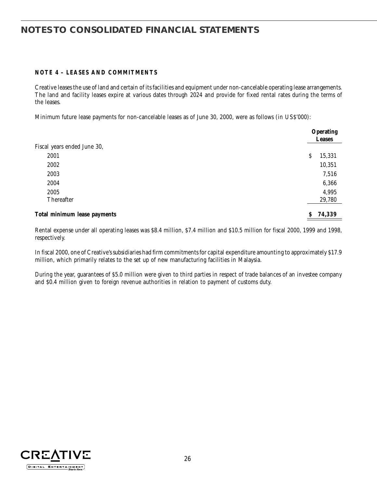### **NOTE 4 – LEASES AND COMMITMENTS**

Creative leases the use of land and certain of its facilities and equipment under non-cancelable operating lease arrangements. The land and facility leases expire at various dates through 2024 and provide for fixed rental rates during the terms of the leases.

Minimum future lease payments for non-cancelable leases as of June 30, 2000, were as follows (in US\$'000):

|                              | <b>Operating</b><br><b>Leases</b> |
|------------------------------|-----------------------------------|
| Fiscal years ended June 30,  |                                   |
| 2001                         | 15,331<br>S                       |
| 2002                         | 10,351                            |
| 2003                         | 7,516                             |
| 2004                         | 6,366                             |
| 2005                         | 4,995                             |
| Thereafter                   | 29,780                            |
| Total minimum lease payments | 74,339<br>S                       |

Rental expense under all operating leases was \$8.4 million, \$7.4 million and \$10.5 million for fiscal 2000, 1999 and 1998, respectively.

In fiscal 2000, one of Creative's subsidiaries had firm commitments for capital expenditure amounting to approximately \$17.9 million, which primarily relates to the set up of new manufacturing facilities in Malaysia.

During the year, guarantees of \$5.0 million were given to third parties in respect of trade balances of an investee company and \$0.4 million given to foreign revenue authorities in relation to payment of customs duty.

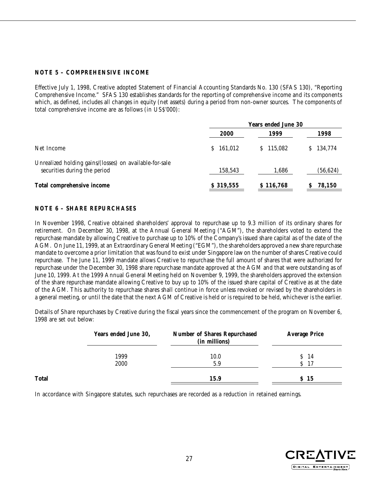### **NOTE 5 – COMPREHENSIVE INCOME**

Effective July 1, 1998, Creative adopted Statement of Financial Accounting Standards No. 130 (SFAS 130), "Reporting Comprehensive Income." SFAS 130 establishes standards for the reporting of comprehensive income and its components which, as defined, includes all changes in equity (net assets) during a period from non-owner sources. The components of total comprehensive income are as follows (in US\$'000):

|                                                                                         | <b>Years ended June 30</b> |           |           |  |
|-----------------------------------------------------------------------------------------|----------------------------|-----------|-----------|--|
|                                                                                         | 2000                       | 1999      | 1998      |  |
| Net Income                                                                              | 161,012<br>S.              | S 115.082 | \$134,774 |  |
| Unrealized holding gains/(losses) on available-for-sale<br>securities during the period | 158,543                    | 1,686     | (56, 624) |  |
| Total comprehensive income                                                              | \$319,555                  | \$116,768 | 78,150    |  |

### **NOTE 6 – SHARE REPURCHASES**

In November 1998, Creative obtained shareholders' approval to repurchase up to 9.3 million of its ordinary shares for retirement. On December 30, 1998, at the Annual General Meeting ("AGM"), the shareholders voted to extend the repurchase mandate by allowing Creative to purchase up to 10% of the Company's issued share capital as of the date of the AGM. On June 11, 1999, at an Extraordinary General Meeting ("EGM"), the shareholders approved a new share repurchase mandate to overcome a prior limitation that was found to exist under Singapore law on the number of shares Creative could repurchase. The June 11, 1999 mandate allows Creative to repurchase the full amount of shares that were authorized for repurchase under the December 30, 1998 share repurchase mandate approved at the AGM and that were outstanding as of June 10, 1999. At the 1999 Annual General Meeting held on November 9, 1999, the shareholders approved the extension of the share repurchase mandate allowing Creative to buy up to 10% of the issued share capital of Creative as at the date of the AGM. This authority to repurchase shares shall continue in force unless revoked or revised by the shareholders in a general meeting, or until the date that the next AGM of Creative is held or is required to be held, whichever is the earlier.

Details of Share repurchases by Creative during the fiscal years since the commencement of the program on November 6, 1998 are set out below:

|       | Years ended June 30, | <b>Number of Shares Repurchased</b><br>(in millions) | <b>Average Price</b> |
|-------|----------------------|------------------------------------------------------|----------------------|
|       | 1999                 | 10.0                                                 | S <sub>14</sub>      |
|       | 2000                 | 5.9                                                  | 17                   |
| Total |                      | 15.9                                                 | S 15                 |

In accordance with Singapore statutes, such repurchases are recorded as a reduction in retained earnings.

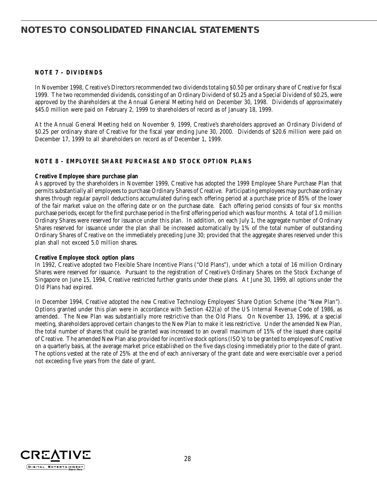### **NOTE 7 – DIVIDENDS**

In November 1998, Creative's Directors recommended two dividends totaling \$0.50 per ordinary share of Creative for fiscal 1999. The two recommended dividends, consisting of an Ordinary Dividend of \$0.25 and a Special Dividend of \$0.25, were approved by the shareholders at the Annual General Meeting held on December 30, 1998. Dividends of approximately \$45.0 million were paid on February 2, 1999 to shareholders of record as of January 18, 1999.

At the Annual General Meeting held on November 9, 1999, Creative's shareholders approved an Ordinary Dividend of \$0.25 per ordinary share of Creative for the fiscal year ending June 30, 2000. Dividends of \$20.6 million were paid on December 17, 1999 to all shareholders on record as of December 1, 1999.

### **NOTE 8 – EMPLOYEE SHARE PURCHASE AND STOCK OPTION PLANS**

#### **Creative Employee share purchase plan**

As approved by the shareholders in November 1999, Creative has adopted the 1999 Employee Share Purchase Plan that permits substantially all employees to purchase Ordinary Shares of Creative. Participating employees may purchase ordinary shares through regular payroll deductions accumulated during each offering period at a purchase price of 85% of the lower of the fair market value on the offering date or on the purchase date. Each offering period consists of four six months purchase periods, except for the first purchase period in the first offering period which was four months. A total of 1.0 million Ordinary Shares were reserved for issuance under this plan. In addition, on each July 1, the aggregate number of Ordinary Shares reserved for issuance under the plan shall be increased automatically by 1% of the total number of outstanding Ordinary Shares of Creative on the immediately preceding June 30; provided that the aggregate shares reserved under this plan shall not exceed 5.0 million shares.

#### **Creative Employee stock option plans**

In 1992, Creative adopted two Flexible Share Incentive Plans ("Old Plans"), under which a total of 16 million Ordinary Shares were reserved for issuance. Pursuant to the registration of Creative's Ordinary Shares on the Stock Exchange of Singapore on June 15, 1994, Creative restricted further grants under these plans. At June 30, 1999, all options under the Old Plans had expired.

In December 1994, Creative adopted the new Creative Technology Employees' Share Option Scheme (the "New Plan"). Options granted under this plan were in accordance with Section 422(a) of the US Internal Revenue Code of 1986, as amended. The New Plan was substantially more restrictive than the Old Plans. On November 13, 1996, at a special meeting, shareholders approved certain changes to the New Plan to make it less restrictive. Under the amended New Plan, the total number of shares that could be granted was increased to an overall maximum of 15% of the issued share capital of Creative. The amended New Plan also provided for incentive stock options (ISO's) to be granted to employees of Creative on a quarterly basis, at the average market price established on the five days closing immediately prior to the date of grant. The options vested at the rate of 25% at the end of each anniversary of the grant date and were exercisable over a period not exceeding five years from the date of grant.

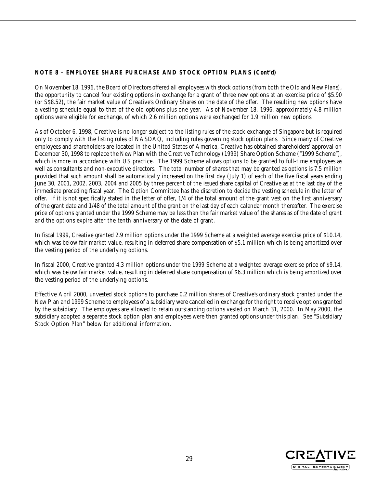### **NOTE 8 – EMPLOYEE SHARE PURCHASE AND STOCK OPTION PLANS (Cont'd)**

On November 18, 1996, the Board of Directors offered all employees with stock options (from both the Old and New Plans), the opportunity to cancel four existing options in exchange for a grant of three new options at an exercise price of \$5.90 (or S\$8.52), the fair market value of Creative's Ordinary Shares on the date of the offer. The resulting new options have a vesting schedule equal to that of the old options plus one year. As of November 18, 1996, approximately 4.8 million options were eligible for exchange, of which 2.6 million options were exchanged for 1.9 million new options.

As of October 6, 1998, Creative is no longer subject to the listing rules of the stock exchange of Singapore but is required only to comply with the listing rules of NASDAQ, including rules governing stock option plans. Since many of Creative employees and shareholders are located in the United States of America, Creative has obtained shareholders' approval on December 30, 1998 to replace the New Plan with the Creative Technology (1999) Share Option Scheme ("1999 Scheme"), which is more in accordance with US practice. The 1999 Scheme allows options to be granted to full-time employees as well as consultants and non-executive directors. The total number of shares that may be granted as options is 7.5 million provided that such amount shall be automatically increased on the first day (July 1) of each of the five fiscal years ending June 30, 2001, 2002, 2003, 2004 and 2005 by three percent of the issued share capital of Creative as at the last day of the immediate preceding fiscal year. The Option Committee has the discretion to decide the vesting schedule in the letter of offer. If it is not specifically stated in the letter of offer, 1/4 of the total amount of the grant vest on the first anniversary of the grant date and 1/48 of the total amount of the grant on the last day of each calendar month thereafter. The exercise price of options granted under the 1999 Scheme may be less than the fair market value of the shares as of the date of grant and the options expire after the tenth anniversary of the date of grant.

In fiscal 1999, Creative granted 2.9 million options under the 1999 Scheme at a weighted average exercise price of \$10.14, which was below fair market value, resulting in deferred share compensation of \$5.1 million which is being amortized over the vesting period of the underlying options.

In fiscal 2000, Creative granted 4.3 million options under the 1999 Scheme at a weighted average exercise price of \$9.14, which was below fair market value, resulting in deferred share compensation of \$6.3 million which is being amortized over the vesting period of the underlying options.

Effective April 2000, unvested stock options to purchase 0.2 million shares of Creative's ordinary stock granted under the New Plan and 1999 Scheme to employees of a subsidiary were cancelled in exchange for the right to receive options granted by the subsidiary. The employees are allowed to retain outstanding options vested on March 31, 2000. In May 2000, the subsidiary adopted a separate stock option plan and employees were then granted options under this plan. See "Subsidiary Stock Option Plan" below for additional information.

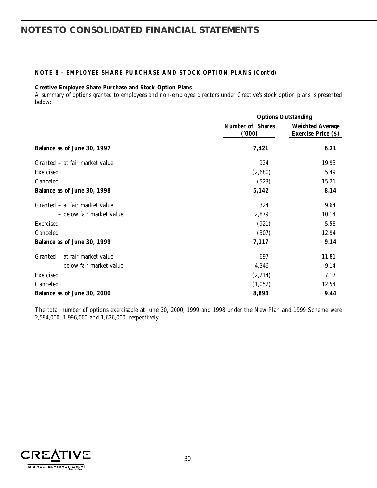### **NOTE 8 – EMPLOYEE SHARE PURCHASE AND STOCK OPTION PLANS (Cont'd)**

### **Creative Employee Share Purchase and Stock Option Plans**

A summary of options granted to employees and non-employee directors under Creative's stock option plans is presented below:

|                                |                                  | <b>Options Outstanding</b>                            |  |  |  |
|--------------------------------|----------------------------------|-------------------------------------------------------|--|--|--|
|                                | <b>Number of Shares</b><br>(000) | <b>Weighted Average</b><br><b>Exercise Price (\$)</b> |  |  |  |
| Balance as of June 30, 1997    | 7,421                            | 6.21                                                  |  |  |  |
| Granted – at fair market value | 924                              | 19.93                                                 |  |  |  |
| Exercised                      | (2,680)                          | 5.49                                                  |  |  |  |
| Canceled                       | (523)                            | 15.21                                                 |  |  |  |
| Balance as of June 30, 1998    | 5,142                            | 8.14                                                  |  |  |  |
| Granted – at fair market value | 324                              | 9.64                                                  |  |  |  |
| – below fair market value      | 2,879                            | 10.14                                                 |  |  |  |
| Exercised                      | (921)                            | 5.58                                                  |  |  |  |
| Canceled                       | (307)                            | 12.94                                                 |  |  |  |
| Balance as of June 30, 1999    | 7,117                            | 9.14                                                  |  |  |  |
| Granted - at fair market value | 697                              | 11.81                                                 |  |  |  |
| – below fair market value      | 4,346                            | 9.14                                                  |  |  |  |
| Exercised                      | (2,214)                          | 7.17                                                  |  |  |  |
| Canceled                       | (1,052)                          | 12.54                                                 |  |  |  |
| Balance as of June 30, 2000    | 8,894                            | 9.44                                                  |  |  |  |

The total number of options exercisable at June 30, 2000, 1999 and 1998 under the New Plan and 1999 Scheme were 2,594,000, 1,996,000 and 1,626,000, respectively.

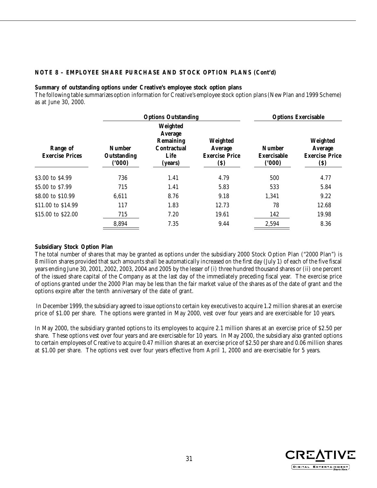### **NOTE 8 – EMPLOYEE SHARE PURCHASE AND STOCK OPTION PLANS (Cont'd)**

#### **Summary of outstanding options under Creative's employee stock option plans**

The following table summarizes option information for Creative's employee stock option plans (New Plan and 1999 Scheme) as at June 30, 2000.

|                                    |                                       | <b>Options Outstanding</b>                                         |                                                     |                                              | <b>Options Exercisable</b>                          |  |  |
|------------------------------------|---------------------------------------|--------------------------------------------------------------------|-----------------------------------------------------|----------------------------------------------|-----------------------------------------------------|--|--|
| Range of<br><b>Exercise Prices</b> | <b>Number</b><br>Outstanding<br>(000) | Weighted<br>Average<br>Remaining<br>Contractual<br>Life<br>(years) | Weighted<br>Average<br><b>Exercise Price</b><br>(S) | <b>Number</b><br><b>Exercisable</b><br>(000) | Weighted<br>Average<br><b>Exercise Price</b><br>(S) |  |  |
| \$3.00 to \$4.99                   | 736                                   | 1.41                                                               | 4.79                                                | 500                                          | 4.77                                                |  |  |
| \$5.00 to \$7.99                   | 715                                   | 1.41                                                               | 5.83                                                | 533                                          | 5.84                                                |  |  |
| \$8.00 to \$10.99                  | 6,611                                 | 8.76                                                               | 9.18                                                | 1,341                                        | 9.22                                                |  |  |
| \$11.00 to \$14.99                 | 117                                   | 1.83                                                               | 12.73                                               | 78                                           | 12.68                                               |  |  |
| \$15.00 to \$22.00                 | 715                                   | 7.20                                                               | 19.61                                               | 142                                          | 19.98                                               |  |  |
|                                    | 8,894                                 | 7.35                                                               | 9.44                                                | 2,594                                        | 8.36                                                |  |  |

#### **Subsidiary Stock Option Plan**

The total number of shares that may be granted as options under the subsidiary 2000 Stock Option Plan ("2000 Plan") is 8 million shares provided that such amounts shall be automatically increased on the first day (July 1) of each of the five fiscal years ending June 30, 2001, 2002, 2003, 2004 and 2005 by the lesser of (i) three hundred thousand shares or (ii) one percent of the issued share capital of the Company as at the last day of the immediately preceding fiscal year. The exercise price of options granted under the 2000 Plan may be less than the fair market value of the shares as of the date of grant and the options expire after the tenth anniversary of the date of grant.

 In December 1999, the subsidiary agreed to issue options to certain key executives to acquire 1.2 million shares at an exercise price of \$1.00 per share. The options were granted in May 2000, vest over four years and are exercisable for 10 years.

In May 2000, the subsidiary granted options to its employees to acquire 2.1 million shares at an exercise price of \$2.50 per share. These options vest over four years and are exercisable for 10 years. In May 2000, the subsidiary also granted options to certain employees of Creative to acquire 0.47 million shares at an exercise price of \$2.50 per share and 0.06 million shares at \$1.00 per share. The options vest over four years effective from April 1, 2000 and are exercisable for 5 years.

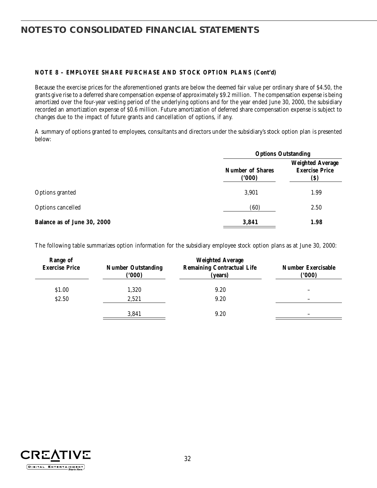### **NOTE 8 – EMPLOYEE SHARE PURCHASE AND STOCK OPTION PLANS (Cont'd)**

Because the exercise prices for the aforementioned grants are below the deemed fair value per ordinary share of \$4.50, the grants give rise to a deferred share compensation expense of approximately \$9.2 million. The compensation expense is being amortized over the four-year vesting period of the underlying options and for the year ended June 30, 2000, the subsidiary recorded an amortization expense of \$0.6 million. Future amortization of deferred share compensation expense is subject to changes due to the impact of future grants and cancellation of options, if any.

A summary of options granted to employees, consultants and directors under the subsidiary's stock option plan is presented below:

|                             |                                  | <b>Options Outstanding</b>                               |  |  |
|-----------------------------|----------------------------------|----------------------------------------------------------|--|--|
|                             | <b>Number of Shares</b><br>(000) | <b>Weighted Average</b><br><b>Exercise Price</b><br>(\$) |  |  |
| Options granted             | 3,901                            | 1.99                                                     |  |  |
| Options cancelled           | (60)                             | 2.50                                                     |  |  |
| Balance as of June 30, 2000 | 3,841                            | 1.98                                                     |  |  |

The following table summarizes option information for the subsidiary employee stock option plans as at June 30, 2000:

| Range of<br><b>Exercise Price</b> | <b>Number Outstanding</b><br>(000) | <b>Weighted Average</b><br><b>Remaining Contractual Life</b><br>(years) | <b>Number Exercisable</b><br>(000) |
|-----------------------------------|------------------------------------|-------------------------------------------------------------------------|------------------------------------|
| \$1.00                            | 1,320                              | 9.20                                                                    |                                    |
| \$2.50                            | 2,521                              | 9.20                                                                    |                                    |
|                                   | 3,841                              | 9.20                                                                    |                                    |

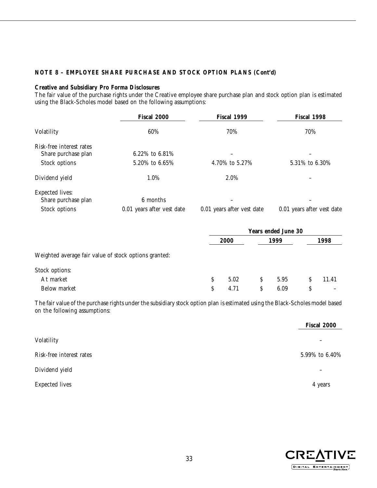### **NOTE 8 – EMPLOYEE SHARE PURCHASE AND STOCK OPTION PLANS (Cont'd)**

#### **Creative and Subsidiary Pro Forma Disclosures**

The fair value of the purchase rights under the Creative employee share purchase plan and stock option plan is estimated using the Black-Scholes model based on the following assumptions:

|                          | Fiscal 2000                | Fiscal 1999                | Fiscal 1998                |  |
|--------------------------|----------------------------|----------------------------|----------------------------|--|
| Volatility               | 60%                        | 70%                        | 70%                        |  |
| Risk-free interest rates |                            |                            |                            |  |
| Share purchase plan      | 6.22\% to 6.81\%           |                            |                            |  |
| Stock options            | 5.20% to 6.65%             | 4.70% to 5.27%             | 5.31\% to 6.30\%           |  |
| Dividend yield           | 1.0%                       | 2.0%                       |                            |  |
| <b>Expected lives:</b>   |                            |                            |                            |  |
| Share purchase plan      | 6 months                   |                            |                            |  |
| Stock options            | 0.01 years after vest date | 0.01 years after vest date | 0.01 years after vest date |  |

|                                                       | <b>Years ended June 30</b> |             |    |      |   |       |
|-------------------------------------------------------|----------------------------|-------------|----|------|---|-------|
|                                                       |                            | <b>2000</b> |    | 1999 |   | 1998  |
| Weighted average fair value of stock options granted: |                            |             |    |      |   |       |
| Stock options:                                        |                            |             |    |      |   |       |
| At market                                             | S                          | 5.02        | S. | 5.95 |   | 11.41 |
| Below market                                          | S                          | 4.71        | S  | 6.09 | S |       |

The fair value of the purchase rights under the subsidiary stock option plan is estimated using the Black-Scholes model based on the following assumptions:

|                          | Fiscal 2000    |
|--------------------------|----------------|
| Volatility               | -              |
| Risk-free interest rates | 5.99% to 6.40% |
| Dividend yield           | -              |
| <b>Expected lives</b>    | 4 years        |

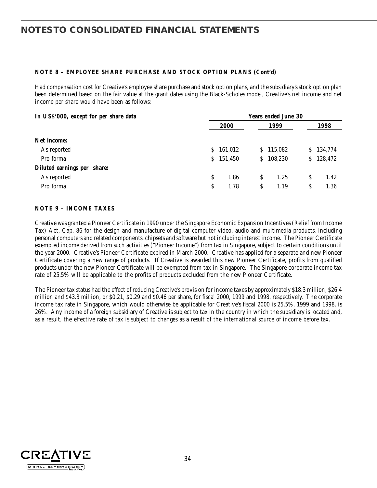### **NOTE 8 – EMPLOYEE SHARE PURCHASE AND STOCK OPTION PLANS (Cont'd)**

Had compensation cost for Creative's employee share purchase and stock option plans, and the subsidiary's stock option plan been determined based on the fair value at the grant dates using the Black-Scholes model, Creative's net income and net income per share would have been as follows:

| In USS'000, except for per share data |    | <b>Years ended June 30</b> |    |         |    |         |  |
|---------------------------------------|----|----------------------------|----|---------|----|---------|--|
|                                       |    | <b>2000</b>                |    | 1999    |    | 1998    |  |
| Net income:                           |    |                            |    |         |    |         |  |
| As reported                           | S. | 161,012                    | S. | 115,082 | S. | 134,774 |  |
| Pro forma                             |    | \$151,450                  | S. | 108,230 | S. | 128,472 |  |
| Diluted earnings per share:           |    |                            |    |         |    |         |  |
| As reported                           | S  | 1.86                       | S  | 1.25    | S  | 1.42    |  |
| Pro forma                             | S  | 1.78                       | S  | 1.19    | S  | 1.36    |  |

### **NOTE 9 – INCOME TAXES**

Creative was granted a Pioneer Certificate in 1990 under the Singapore Economic Expansion Incentives (Relief from Income Tax) Act, Cap. 86 for the design and manufacture of digital computer video, audio and multimedia products, including personal computers and related components, chipsets and software but not including interest income. The Pioneer Certificate exempted income derived from such activities ("Pioneer Income") from tax in Singapore, subject to certain conditions until the year 2000. Creative's Pioneer Certificate expired in March 2000. Creative has applied for a separate and new Pioneer Certificate covering a new range of products. If Creative is awarded this new Pioneer Certificate, profits from qualified products under the new Pioneer Certificate will be exempted from tax in Singapore. The Singapore corporate income tax rate of 25.5% will be applicable to the profits of products excluded from the new Pioneer Certificate.

The Pioneer tax status had the effect of reducing Creative's provision for income taxes by approximately \$18.3 million, \$26.4 million and \$43.3 million, or \$0.21, \$0.29 and \$0.46 per share, for fiscal 2000, 1999 and 1998, respectively. The corporate income tax rate in Singapore, which would otherwise be applicable for Creative's fiscal 2000 is 25.5%, 1999 and 1998, is 26%. Any income of a foreign subsidiary of Creative is subject to tax in the country in which the subsidiary is located and, as a result, the effective rate of tax is subject to changes as a result of the international source of income before tax.

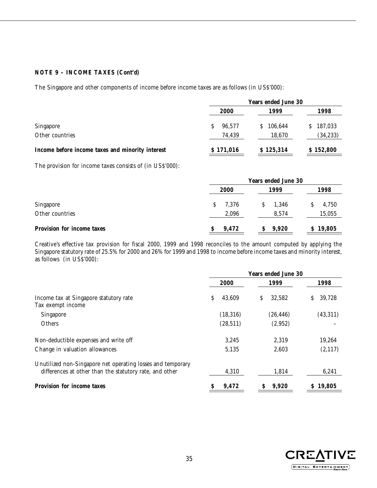### **NOTE 9 – INCOME TAXES (Cont'd)**

The Singapore and other components of income before income taxes are as follows (in US\$'000):

|                                                  | <b>Years ended June 30</b> |               |               |  |
|--------------------------------------------------|----------------------------|---------------|---------------|--|
|                                                  | 2000                       | 1999          | 1998          |  |
| Singapore                                        | 96.577                     | 106,644<br>S. | 187,033<br>S. |  |
| Other countries                                  | 74,439                     | 18,670        | (34, 233)     |  |
| Income before income taxes and minority interest | \$171,016                  | \$125,314     | \$152,800     |  |

The provision for income taxes consists of (in US\$'000):

|                            | <b>Years ended June 30</b> |       |          |  |
|----------------------------|----------------------------|-------|----------|--|
|                            | 2000                       | 1999  | 1998     |  |
| Singapore                  | 7.376<br>S.                | 1,346 | 4,750    |  |
| Other countries            | 2,096                      | 8.574 | 15,055   |  |
| Provision for income taxes | 9,472                      | 9,920 | \$19,805 |  |

Creative's effective tax provision for fiscal 2000, 1999 and 1998 reconciles to the amount computed by applying the Singapore statutory rate of 25.5% for 2000 and 26% for 1999 and 1998 to income before income taxes and minority interest, as follows (in US\$'000):

|                                                             | <b>Years ended June 30</b> |           |   |           |    |          |
|-------------------------------------------------------------|----------------------------|-----------|---|-----------|----|----------|
|                                                             |                            | 2000      |   | 1999      |    | 1998     |
| Income tax at Singapore statutory rate<br>Tax exempt income | \$                         | 43,609    | S | 32,582    | S  | 39,728   |
| Singapore                                                   |                            | (18, 316) |   | (26, 446) |    | (43,311) |
| Others                                                      |                            | (28, 511) |   | (2,952)   |    |          |
| Non-deductible expenses and write off                       |                            | 3,245     |   | 2,319     |    | 19,264   |
| Change in valuation allowances                              |                            | 5,135     |   | 2.603     |    | (2,117)  |
| Unutilized non-Singapore net operating losses and temporary |                            |           |   |           |    |          |
| differences at other than the statutory rate, and other     |                            | 4,310     |   | 1,814     |    | 6,241    |
| <b>Provision for income taxes</b>                           |                            | 9,472     |   | 9,920     | S. | 19,805   |

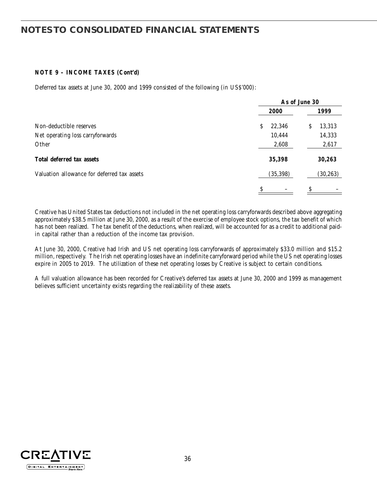### **NOTE 9 – INCOME TAXES (Cont'd)**

Deferred tax assets at June 30, 2000 and 1999 consisted of the following (in US\$'000):

|                                             |              | As of June 30 |
|---------------------------------------------|--------------|---------------|
|                                             | 2000         | 1999          |
| Non-deductible reserves                     | 22,346<br>S. | 13,313<br>S   |
| Net operating loss carryforwards            | 10,444       | 14,333        |
| Other                                       | 2,608        | 2,617         |
| Total deferred tax assets                   | 35,398       | 30,263        |
| Valuation allowance for deferred tax assets | (35, 398)    | (30, 263)     |
|                                             | \$           | \$            |

Creative has United States tax deductions not included in the net operating loss carryforwards described above aggregating approximately \$38.5 million at June 30, 2000, as a result of the exercise of employee stock options, the tax benefit of which has not been realized. The tax benefit of the deductions, when realized, will be accounted for as a credit to additional paidin capital rather than a reduction of the income tax provision.

At June 30, 2000, Creative had Irish and US net operating loss carryforwards of approximately \$33.0 million and \$15.2 million, respectively. The Irish net operating losses have an indefinite carryforward period while the US net operating losses expire in 2005 to 2019. The utilization of these net operating losses by Creative is subject to certain conditions.

A full valuation allowance has been recorded for Creative's deferred tax assets at June 30, 2000 and 1999 as management believes sufficient uncertainty exists regarding the realizability of these assets.

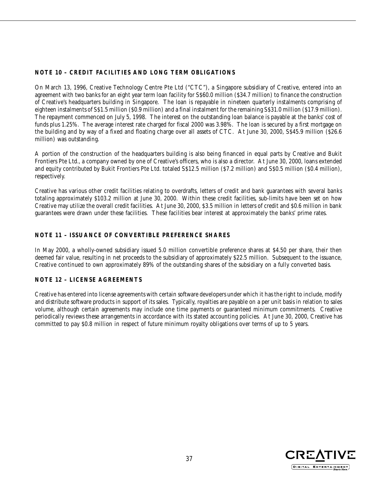### **NOTE 10 – CREDIT FACILITIES AND LONG TERM OBLIGATIONS**

On March 13, 1996, Creative Technology Centre Pte Ltd ("CTC"), a Singapore subsidiary of Creative, entered into an agreement with two banks for an eight year term loan facility for S\$60.0 million (\$34.7 million) to finance the construction of Creative's headquarters building in Singapore. The loan is repayable in nineteen quarterly instalments comprising of eighteen instalments of S\$1.5 million (\$0.9 million) and a final instalment for the remaining S\$31.0 million (\$17.9 million). The repayment commenced on July 5, 1998. The interest on the outstanding loan balance is payable at the banks' cost of funds plus 1.25%. The average interest rate charged for fiscal 2000 was 3.98%. The loan is secured by a first mortgage on the building and by way of a fixed and floating charge over all assets of CTC. At June 30, 2000, S\$45.9 million (\$26.6 million) was outstanding.

A portion of the construction of the headquarters building is also being financed in equal parts by Creative and Bukit Frontiers Pte Ltd., a company owned by one of Creative's officers, who is also a director. At June 30, 2000, loans extended and equity contributed by Bukit Frontiers Pte Ltd. totaled S\$12.5 million (\$7.2 million) and S\$0.5 million (\$0.4 million), respectively.

Creative has various other credit facilities relating to overdrafts, letters of credit and bank guarantees with several banks totaling approximately \$103.2 million at June 30, 2000. Within these credit facilities, sub-limits have been set on how Creative may utilize the overall credit facilities. At June 30, 2000, \$3.5 million in letters of credit and \$0.6 million in bank guarantees were drawn under these facilities. These facilities bear interest at approximately the banks' prime rates.

### **NOTE 11 – ISSUANCE OF CONVERTIBLE PREFERENCE SHARES**

In May 2000, a wholly-owned subsidiary issued 5.0 million convertible preference shares at \$4.50 per share, their then deemed fair value, resulting in net proceeds to the subsidiary of approximately \$22.5 million. Subsequent to the issuance, Creative continued to own approximately 89% of the outstanding shares of the subsidiary on a fully converted basis.

### **NOTE 12 – LICENSE AGREEMENTS**

Creative has entered into license agreements with certain software developers under which it has the right to include, modify and distribute software products in support of its sales. Typically, royalties are payable on a per unit basis in relation to sales volume, although certain agreements may include one time payments or guaranteed minimum commitments. Creative periodically reviews these arrangements in accordance with its stated accounting policies. At June 30, 2000, Creative has committed to pay \$0.8 million in respect of future minimum royalty obligations over terms of up to 5 years.

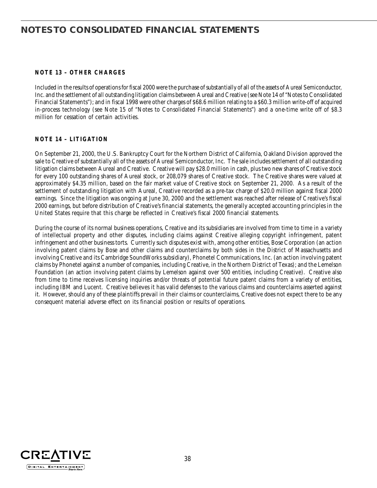### **NOTE 13 – OTHER CHARGES**

Included in the results of operations for fiscal 2000 were the purchase of substantially of all of the assets of Aureal Semiconductor, Inc. and the settlement of all outstanding litigation claims between Aureal and Creative (see Note 14 of "Notes to Consolidated Financial Statements"); and in fiscal 1998 were other charges of \$68.6 million relating to a \$60.3 million write-off of acquired in-process technology (see Note 15 of "Notes to Consolidated Financial Statements") and a one-time write off of \$8.3 million for cessation of certain activities.

### **NOTE 14 – LITIGATION**

On September 21, 2000, the U.S. Bankruptcy Court for the Northern District of California, Oakland Division approved the sale to Creative of substantially all of the assets of Aureal Semiconductor, Inc. The sale includes settlement of all outstanding litigation claims between Aureal and Creative. Creative will pay \$28.0 million in cash, plus two new shares of Creative stock for every 100 outstanding shares of Aureal stock, or 208,079 shares of Creative stock. The Creative shares were valued at approximately \$4.35 million, based on the fair market value of Creative stock on September 21, 2000. As a result of the settlement of outstanding litigation with Aureal, Creative recorded as a pre-tax charge of \$20.0 million against fiscal 2000 earnings. Since the litigation was ongoing at June 30, 2000 and the settlement was reached after release of Creative's fiscal 2000 earnings, but before distribution of Creative's financial statements, the generally accepted accounting principles in the United States require that this charge be reflected in Creative's fiscal 2000 financial statements.

During the course of its normal business operations, Creative and its subsidiaries are involved from time to time in a variety of intellectual property and other disputes, including claims against Creative alleging copyright infringement, patent infringement and other business torts. Currently such disputes exist with, among other entities, Bose Corporation (an action involving patent claims by Bose and other claims and counterclaims by both sides in the District of Massachusetts and involving Creative and its Cambridge SoundWorks subsidiary), Phonetel Communications, Inc. (an action involving patent claims by Phonetel against a number of companies, including Creative, in the Northern District of Texas); and the Lemelson Foundation (an action involving patent claims by Lemelson against over 500 entities, including Creative). Creative also from time to time receives licensing inquiries and/or threats of potential future patent claims from a variety of entities, including IBM and Lucent. Creative believes it has valid defenses to the various claims and counterclaims asserted against it. However, should any of these plaintiffs prevail in their claims or counterclaims, Creative does not expect there to be any consequent material adverse effect on its financial position or results of operations.

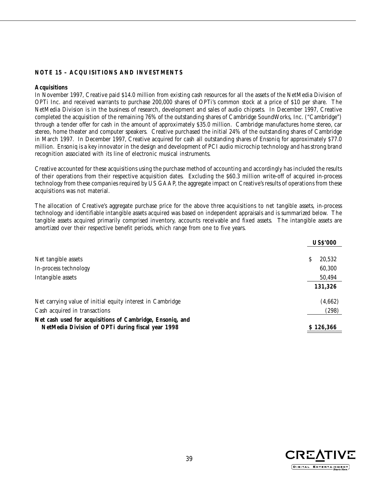### **NOTE 15 – ACQUISITIONS AND INVESTMENTS**

#### **Acquisitions**

In November 1997, Creative paid \$14.0 million from existing cash resources for all the assets of the NetMedia Division of OPTi Inc. and received warrants to purchase 200,000 shares of OPTi's common stock at a price of \$10 per share. The NetMedia Division is in the business of research, development and sales of audio chipsets. In December 1997, Creative completed the acquisition of the remaining 76% of the outstanding shares of Cambridge SoundWorks, Inc. ("Cambridge") through a tender offer for cash in the amount of approximately \$35.0 million. Cambridge manufactures home stereo, car stereo, home theater and computer speakers. Creative purchased the initial 24% of the outstanding shares of Cambridge in March 1997. In December 1997, Creative acquired for cash all outstanding shares of Ensoniq for approximately \$77.0 million. Ensoniq is a key innovator in the design and development of PCI audio microchip technology and has strong brand recognition associated with its line of electronic musical instruments.

Creative accounted for these acquisitions using the purchase method of accounting and accordingly has included the results of their operations from their respective acquisition dates. Excluding the \$60.3 million write-off of acquired in-process technology from these companies required by US GAAP, the aggregate impact on Creative's results of operations from these acquisitions was not material.

The allocation of Creative's aggregate purchase price for the above three acquisitions to net tangible assets, in-process technology and identifiable intangible assets acquired was based on independent appraisals and is summarized below. The tangible assets acquired primarily comprised inventory, accounts receivable and fixed assets. The intangible assets are amortized over their respective benefit periods, which range from one to five years.

|                                                                                                                |   | <b>US\$'000</b> |
|----------------------------------------------------------------------------------------------------------------|---|-----------------|
| Net tangible assets                                                                                            | S | 20,532          |
| In-process technology                                                                                          |   | 60,300          |
| Intangible assets                                                                                              |   | 50,494          |
|                                                                                                                |   | 131,326         |
| Net carrying value of initial equity interest in Cambridge                                                     |   | (4,662)         |
| Cash acquired in transactions                                                                                  |   | (298)           |
| Net cash used for acquisitions of Cambridge, Ensoniq, and<br>NetMedia Division of OPTi during fiscal year 1998 |   | \$126,366       |

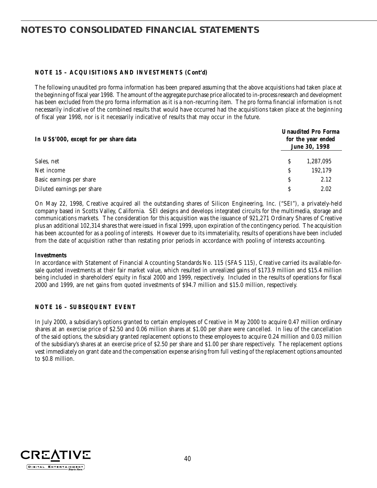### **NOTE 15 – ACQUISITIONS AND INVESTMENTS (Cont'd)**

The following unaudited pro forma information has been prepared assuming that the above acquisitions had taken place at the beginning of fiscal year 1998. The amount of the aggregate purchase price allocated to in-process research and development has been excluded from the pro forma information as it is a non-recurring item. The pro forma financial information is not necessarily indicative of the combined results that would have occurred had the acquisitions taken place at the beginning of fiscal year 1998, nor is it necessarily indicative of results that may occur in the future.

| In US\$'000, except for per share data |   | <b>Unaudited Pro Forma</b><br>for the year ended<br>June 30, 1998 |  |  |  |
|----------------------------------------|---|-------------------------------------------------------------------|--|--|--|
| Sales, net                             | S | 1,287,095                                                         |  |  |  |
| Net income                             | S | 192.179                                                           |  |  |  |
| Basic earnings per share               | S | 2.12                                                              |  |  |  |
| Diluted earnings per share             |   | 2.02                                                              |  |  |  |

On May 22, 1998, Creative acquired all the outstanding shares of Silicon Engineering, Inc. ("SEI"), a privately-held company based in Scotts Valley, California. SEI designs and develops integrated circuits for the multimedia, storage and communications markets. The consideration for this acquisition was the issuance of 921,271 Ordinary Shares of Creative plus an additional 102,314 shares that were issued in fiscal 1999, upon expiration of the contingency period. The acquisition has been accounted for as a pooling of interests. However due to its immateriality, results of operations have been included from the date of acquisition rather than restating prior periods in accordance with pooling of interests accounting.

#### **Investments**

In accordance with Statement of Financial Accounting Standards No. 115 (SFAS 115), Creative carried its available-forsale quoted investments at their fair market value, which resulted in unrealized gains of \$173.9 million and \$15.4 million being included in shareholders' equity in fiscal 2000 and 1999, respectively. Included in the results of operations for fiscal 2000 and 1999, are net gains from quoted investments of \$94.7 million and \$15.0 million, respectively.

#### **NOTE 16 – SUBSEQUENT EVENT**

In July 2000, a subsidiary's options granted to certain employees of Creative in May 2000 to acquire 0.47 million ordinary shares at an exercise price of \$2.50 and 0.06 million shares at \$1.00 per share were cancelled. In lieu of the cancellation of the said options, the subsidiary granted replacement options to these employees to acquire 0.24 million and 0.03 million of the subsidiary's shares at an exercise price of \$2.50 per share and \$1.00 per share respectively. The replacement options vest immediately on grant date and the compensation expense arising from full vesting of the replacement options amounted to \$0.8 million.

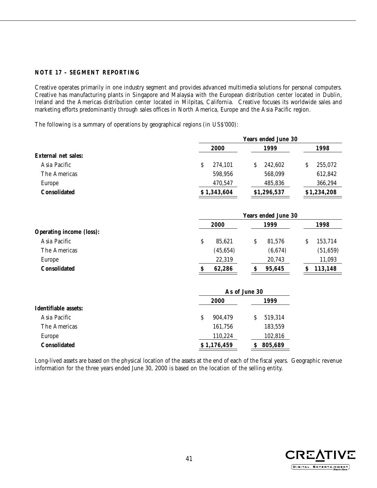### **NOTE 17 – SEGMENT REPORTING**

Creative operates primarily in one industry segment and provides advanced multimedia solutions for personal computers. Creative has manufacturing plants in Singapore and Malaysia with the European distribution center located in Dublin, Ireland and the Americas distribution center located in Milpitas, California. Creative focuses its worldwide sales and marketing efforts predominantly through sales offices in North America, Europe and the Asia Pacific region.

The following is a summary of operations by geographical regions (in US\$'000):

|                                 |               | <b>Years ended June 30</b> |               |  |  |  |  |  |
|---------------------------------|---------------|----------------------------|---------------|--|--|--|--|--|
|                                 | 2000          | 1999                       | 1998          |  |  |  |  |  |
| External net sales:             |               |                            |               |  |  |  |  |  |
| Asia Pacific                    | \$<br>274,101 | S<br>242,602               | 255,072<br>\$ |  |  |  |  |  |
| The Americas                    | 598,956       | 568,099                    | 612,842       |  |  |  |  |  |
| Europe                          | 470,547       | 485,836                    | 366,294       |  |  |  |  |  |
| <b>Consolidated</b>             | \$1,343,604   | \$1,296,537                | \$1,234,208   |  |  |  |  |  |
|                                 |               | <b>Years ended June 30</b> |               |  |  |  |  |  |
|                                 | 2000          | 1999                       | 1998          |  |  |  |  |  |
| <b>Operating income (loss):</b> |               |                            |               |  |  |  |  |  |

| <b>Consolidated</b> | 62.286   | 95.645  | 113.148   |
|---------------------|----------|---------|-----------|
| Europe              | 22,319   | 20,743  | 11,093    |
| The Americas        | (45.654) | (6.674) | (51, 659) |
| Asia Pacific        | 85,621   | 81,576  | 153,714   |

|                      | As of June 30 |              |  |
|----------------------|---------------|--------------|--|
|                      | 2000          | 1999         |  |
| Identifiable assets: |               |              |  |
| Asia Pacific         | 904.479<br>S  | 519,314<br>S |  |
| The Americas         | 161,756       | 183,559      |  |
| Europe               | 110,224       | 102,816      |  |
| <b>Consolidated</b>  | \$1,176,459   | 805,689<br>S |  |

Long-lived assets are based on the physical location of the assets at the end of each of the fiscal years. Geographic revenue information for the three years ended June 30, 2000 is based on the location of the selling entity.

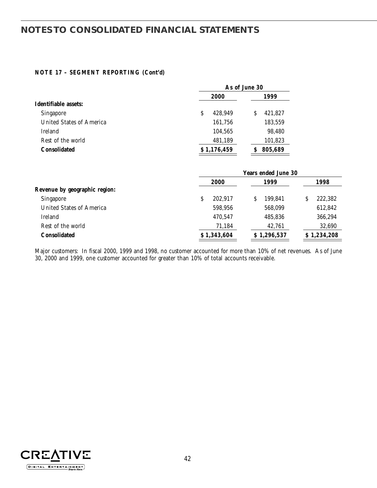### **NOTE 17 – SEGMENT REPORTING (Cont'd)**

|                                 | As of June 30 |              |  |  |  |
|---------------------------------|---------------|--------------|--|--|--|
|                                 | 2000          | 1999         |  |  |  |
| Identifiable assets:            |               |              |  |  |  |
| <b>Singapore</b>                | 428.949<br>S  | 421,827<br>S |  |  |  |
| <b>United States of America</b> | 161,756       | 183,559      |  |  |  |
| <b>Ireland</b>                  | 104,565       | 98,480       |  |  |  |
| Rest of the world               | 481,189       | 101,823      |  |  |  |
| <b>Consolidated</b>             | \$1,176,459   | 805,689      |  |  |  |
|                                 |               |              |  |  |  |

|                               | <b>Years ended June 30</b> |             |              |
|-------------------------------|----------------------------|-------------|--------------|
|                               | 2000                       | 1999        | 1998         |
| Revenue by geographic region: |                            |             |              |
| Singapore                     | S<br>202.917               | 199.841     | 222,382<br>S |
| United States of America      | 598,956                    | 568,099     | 612,842      |
| Ireland                       | 470.547                    | 485,836     | 366,294      |
| Rest of the world             | 71,184                     | 42,761      | 32,690       |
| <b>Consolidated</b>           | \$1,343,604                | \$1,296,537 | \$1,234,208  |
|                               |                            |             |              |

Major customers: In fiscal 2000, 1999 and 1998, no customer accounted for more than 10% of net revenues. As of June 30, 2000 and 1999, one customer accounted for greater than 10% of total accounts receivable.

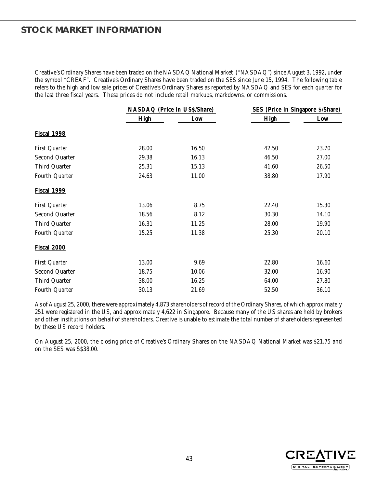### **STOCK MARKET INFORMATION**

Creative's Ordinary Shares have been traded on the NASDAQ National Market ("NASDAQ") since August 3, 1992, under the symbol "CREAF". Creative's Ordinary Shares have been traded on the SES since June 15, 1994. The following table refers to the high and low sale prices of Creative's Ordinary Shares as reported by NASDAQ and SES for each quarter for the last three fiscal years. These prices do not include retail markups, markdowns, or commissions.

|                       | NASDAQ (Price in US\$/Share) |       | SES (Price in Singapore \$/Share) |       |
|-----------------------|------------------------------|-------|-----------------------------------|-------|
|                       | High                         | Low   | High                              | Low   |
| <b>Fiscal 1998</b>    |                              |       |                                   |       |
| First Quarter         | 28.00                        | 16.50 | 42.50                             | 23.70 |
| Second Quarter        | 29.38                        | 16.13 | 46.50                             | 27.00 |
| Third Quarter         | 25.31                        | 15.13 | 41.60                             | 26.50 |
| Fourth Quarter        | 24.63                        | 11.00 | 38.80                             | 17.90 |
| <b>Fiscal 1999</b>    |                              |       |                                   |       |
| First Quarter         | 13.06                        | 8.75  | 22.40                             | 15.30 |
| Second Quarter        | 18.56                        | 8.12  | 30.30                             | 14.10 |
| Third Quarter         | 16.31                        | 11.25 | 28.00                             | 19.90 |
| Fourth Quarter        | 15.25                        | 11.38 | 25.30                             | 20.10 |
| <b>Fiscal 2000</b>    |                              |       |                                   |       |
| First Quarter         | 13.00                        | 9.69  | 22.80                             | 16.60 |
| Second Quarter        | 18.75                        | 10.06 | 32.00                             | 16.90 |
| Third Quarter         | 38.00                        | 16.25 | 64.00                             | 27.80 |
| <b>Fourth Quarter</b> | 30.13                        | 21.69 | 52.50                             | 36.10 |

As of August 25, 2000, there were approximately 4,873 shareholders of record of the Ordinary Shares, of which approximately 251 were registered in the US, and approximately 4,622 in Singapore. Because many of the US shares are held by brokers and other institutions on behalf of shareholders, Creative is unable to estimate the total number of shareholders represented by these US record holders.

On August 25, 2000, the closing price of Creative's Ordinary Shares on the NASDAQ National Market was \$21.75 and on the SES was S\$38.00.